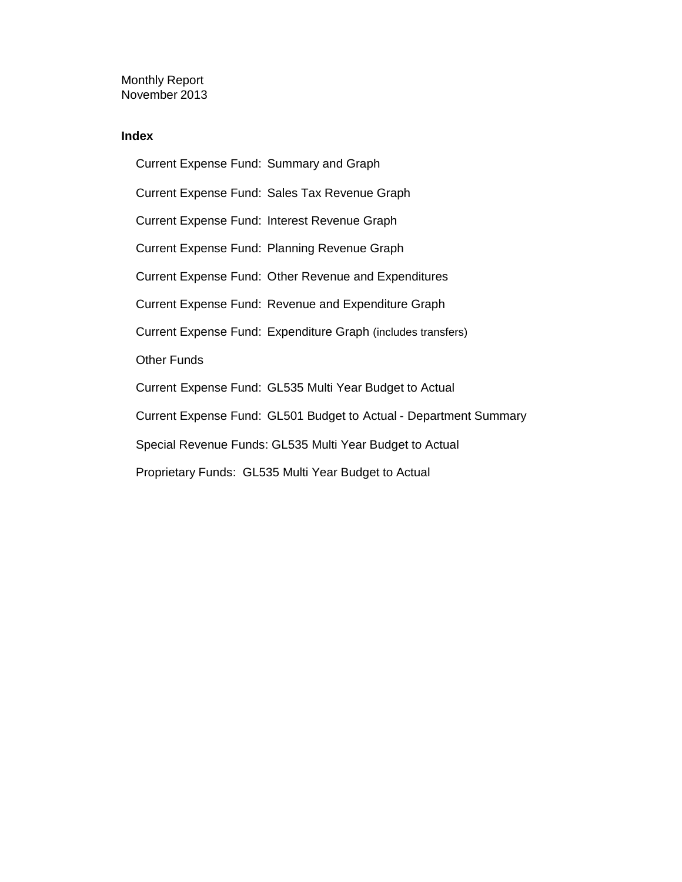Monthly Report November 2013

#### **Index**

Current Expense Fund: Summary and Graph Current Expense Fund: Sales Tax Revenue Graph Current Expense Fund: Interest Revenue Graph Current Expense Fund: Planning Revenue Graph Current Expense Fund: Other Revenue and Expenditures Current Expense Fund: Revenue and Expenditure Graph Current Expense Fund: Expenditure Graph (includes transfers) Other Funds Current Expense Fund: GL535 Multi Year Budget to Actual Current Expense Fund: GL501 Budget to Actual - Department Summary Special Revenue Funds: GL535 Multi Year Budget to Actual Proprietary Funds: GL535 Multi Year Budget to Actual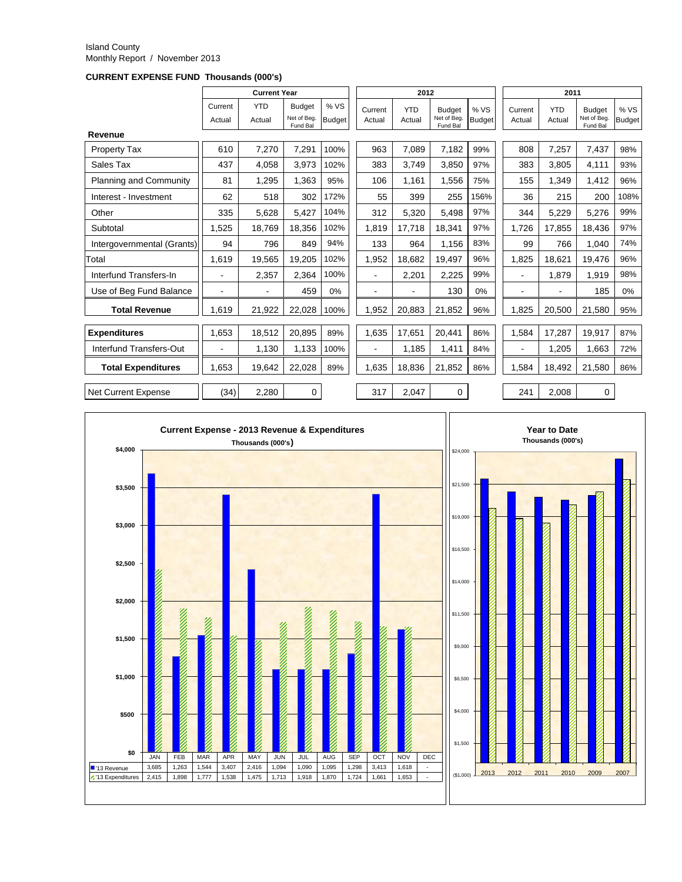#### Island County Monthly Report / November 2013

**CURRENT EXPENSE FUND Thousands (000's)**

|                               |                   | <b>Current Year</b>  |                                          |                      |                          | 2012                 |                                          |                      | 2011              |                      |                                          |                       |
|-------------------------------|-------------------|----------------------|------------------------------------------|----------------------|--------------------------|----------------------|------------------------------------------|----------------------|-------------------|----------------------|------------------------------------------|-----------------------|
|                               | Current<br>Actual | <b>YTD</b><br>Actual | <b>Budget</b><br>Net of Beg.<br>Fund Bal | %VS<br><b>Budget</b> | Current<br>Actual        | <b>YTD</b><br>Actual | <b>Budget</b><br>Net of Beg.<br>Fund Bal | %VS<br><b>Budget</b> | Current<br>Actual | <b>YTD</b><br>Actual | <b>Budget</b><br>Net of Beg.<br>Fund Bal | % VS<br><b>Budget</b> |
| Revenue                       |                   |                      |                                          |                      |                          |                      |                                          |                      |                   |                      |                                          |                       |
| <b>Property Tax</b>           | 610               | 7.270                | 7.291                                    | 100%                 | 963                      | 7.089                | 7,182                                    | 99%                  | 808               | 7,257                | 7.437                                    | 98%                   |
| Sales Tax                     | 437               | 4,058                | 3,973                                    | 102%                 | 383                      | 3.749                | 3,850                                    | 97%                  | 383               | 3,805                | 4,111                                    | 93%                   |
| <b>Planning and Community</b> | 81                | 1.295                | 1,363                                    | 95%                  | 106                      | 1,161                | 1,556                                    | 75%                  | 155               | 1,349                | 1,412                                    | 96%                   |
| Interest - Investment         | 62                | 518                  | 302                                      | 172%                 | 55                       | 399                  | 255                                      | 156%                 | 36                | 215                  | 200                                      | 108%                  |
| Other                         | 335               | 5.628                | 5.427                                    | 104%                 | 312                      | 5.320                | 5,498                                    | 97%                  | 344               | 5.229                | 5.276                                    | 99%                   |
| Subtotal                      | 1.525             | 18.769               | 18.356                                   | 102%                 | 1.819                    | 17.718               | 18.341                                   | 97%                  | 1.726             | 17,855               | 18.436                                   | 97%                   |
| Intergovernmental (Grants)    | 94                | 796                  | 849                                      | 94%                  | 133                      | 964                  | 1,156                                    | 83%                  | 99                | 766                  | 1.040                                    | 74%                   |
| Total                         | 1.619             | 19.565               | 19,205                                   | 102%                 | 1,952                    | 18,682               | 19.497                                   | 96%                  | 1.825             | 18.621               | 19.476                                   | 96%                   |
| Interfund Transfers-In        |                   | 2.357                | 2.364                                    | 100%                 |                          | 2.201                | 2,225                                    | 99%                  | $\blacksquare$    | 1.879                | 1.919                                    | 98%                   |
| Use of Beg Fund Balance       | $\blacksquare$    | ۰                    | 459                                      | 0%                   | $\overline{\phantom{0}}$ |                      | 130                                      | 0%                   | $\blacksquare$    |                      | 185                                      | 0%                    |
| <b>Total Revenue</b>          | 1.619             | 21,922               | 22,028                                   | 100%                 | 1,952                    | 20,883               | 21,852                                   | 96%                  | 1.825             | 20,500               | 21,580                                   | 95%                   |
| <b>Expenditures</b>           | 1.653             | 18.512               | 20,895                                   | 89%                  | 1,635                    | 17,651               | 20,441                                   | 86%                  | 1,584             | 17,287               | 19.917                                   | 87%                   |
| Interfund Transfers-Out       |                   | 1,130                | 1,133                                    | 100%                 |                          | 1,185                | 1,411                                    | 84%                  |                   | 1,205                | 1,663                                    | 72%                   |
| <b>Total Expenditures</b>     | 1,653             | 19,642               | 22,028                                   | 89%                  | 1,635                    | 18,836               | 21,852                                   | 86%                  | 1,584             | 18,492               | 21,580                                   | 86%                   |
| <b>Net Current Expense</b>    | (34)              | 2,280                | 0                                        |                      | 317                      | 2,047                | 0                                        |                      | 241               | 2,008                | 0                                        |                       |

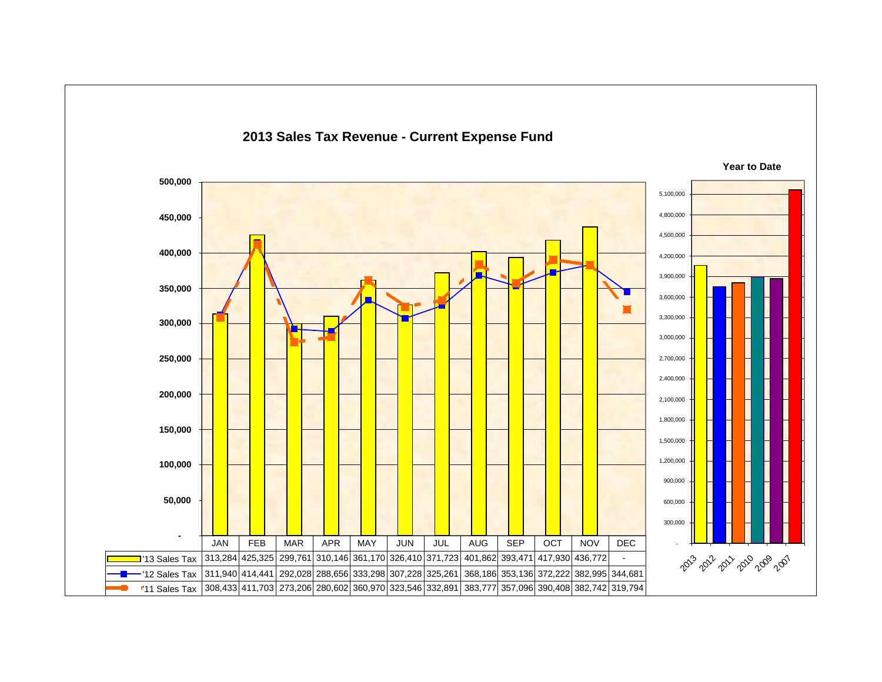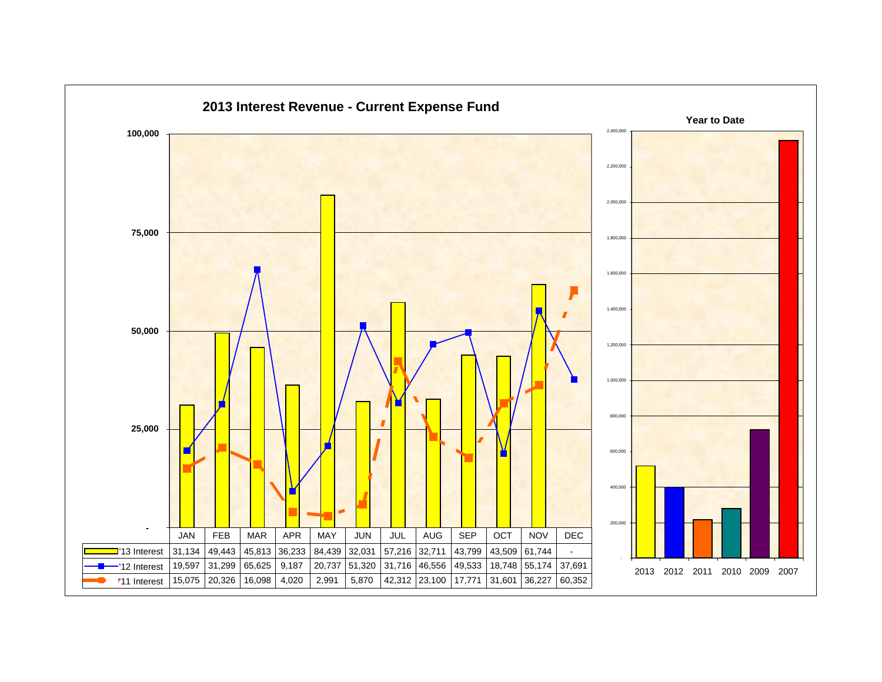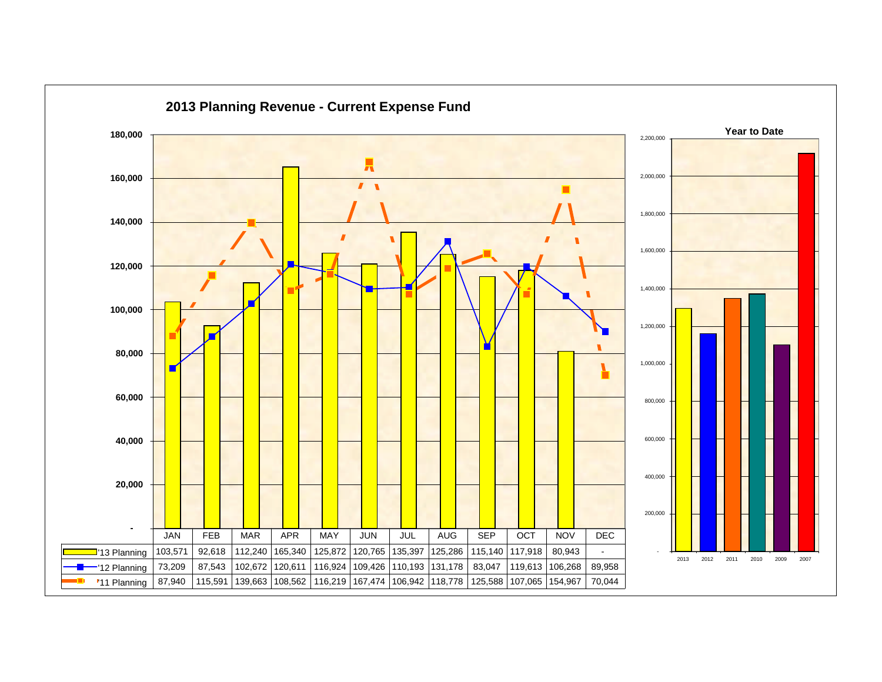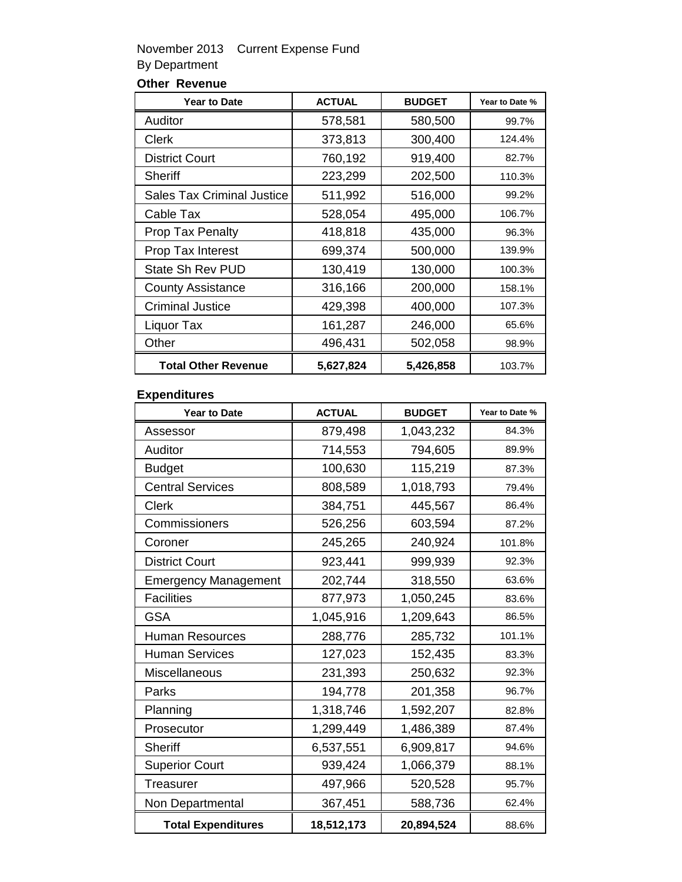### November 2013 Current Expense Fund By Department

## **Other Revenue**

| <b>Year to Date</b>               | <b>ACTUAL</b> | <b>BUDGET</b> | Year to Date % |
|-----------------------------------|---------------|---------------|----------------|
| Auditor                           | 578,581       | 580,500       | 99.7%          |
| Clerk                             | 373,813       | 300,400       | 124.4%         |
| <b>District Court</b>             | 760,192       | 919,400       | 82.7%          |
| Sheriff                           | 223,299       | 202,500       | 110.3%         |
| <b>Sales Tax Criminal Justice</b> | 511,992       | 516,000       | 99.2%          |
| Cable Tax                         | 528,054       | 495,000       | 106.7%         |
| <b>Prop Tax Penalty</b>           | 418,818       | 435,000       | 96.3%          |
| Prop Tax Interest                 | 699,374       | 500,000       | 139.9%         |
| State Sh Rev PUD                  | 130,419       | 130,000       | 100.3%         |
| <b>County Assistance</b>          | 316,166       | 200,000       | 158.1%         |
| <b>Criminal Justice</b>           | 429,398       | 400,000       | 107.3%         |
| Liquor Tax                        | 161,287       | 246,000       | 65.6%          |
| Other                             | 496,431       | 502,058       | 98.9%          |
| <b>Total Other Revenue</b>        | 5,627,824     | 5,426,858     | 103.7%         |

### **Expenditures**

| <b>Year to Date</b>         | <b>ACTUAL</b> | <b>BUDGET</b> | Year to Date % |
|-----------------------------|---------------|---------------|----------------|
| Assessor                    | 879,498       | 1,043,232     | 84.3%          |
| Auditor                     | 714,553       | 794,605       | 89.9%          |
| <b>Budget</b>               | 100,630       | 115,219       | 87.3%          |
| <b>Central Services</b>     | 808,589       | 1,018,793     | 79.4%          |
| Clerk                       | 384,751       | 445,567       | 86.4%          |
| Commissioners               | 526,256       | 603,594       | 87.2%          |
| Coroner                     | 245,265       | 240,924       | 101.8%         |
| <b>District Court</b>       | 923,441       | 999,939       | 92.3%          |
| <b>Emergency Management</b> | 202,744       | 318,550       | 63.6%          |
| <b>Facilities</b>           | 877,973       | 1,050,245     | 83.6%          |
| <b>GSA</b>                  | 1,045,916     | 1,209,643     | 86.5%          |
| <b>Human Resources</b>      | 288,776       | 285,732       | 101.1%         |
| <b>Human Services</b>       | 127,023       | 152,435       | 83.3%          |
| <b>Miscellaneous</b>        | 231,393       | 250,632       | 92.3%          |
| Parks                       | 194,778       | 201,358       | 96.7%          |
| Planning                    | 1,318,746     | 1,592,207     | 82.8%          |
| Prosecutor                  | 1,299,449     | 1,486,389     | 87.4%          |
| <b>Sheriff</b>              | 6,537,551     | 6,909,817     | 94.6%          |
| <b>Superior Court</b>       | 939,424       | 1,066,379     | 88.1%          |
| Treasurer                   | 497,966       | 520,528       | 95.7%          |
| Non Departmental            | 367,451       | 588,736       | 62.4%          |
| <b>Total Expenditures</b>   | 18,512,173    | 20,894,524    | 88.6%          |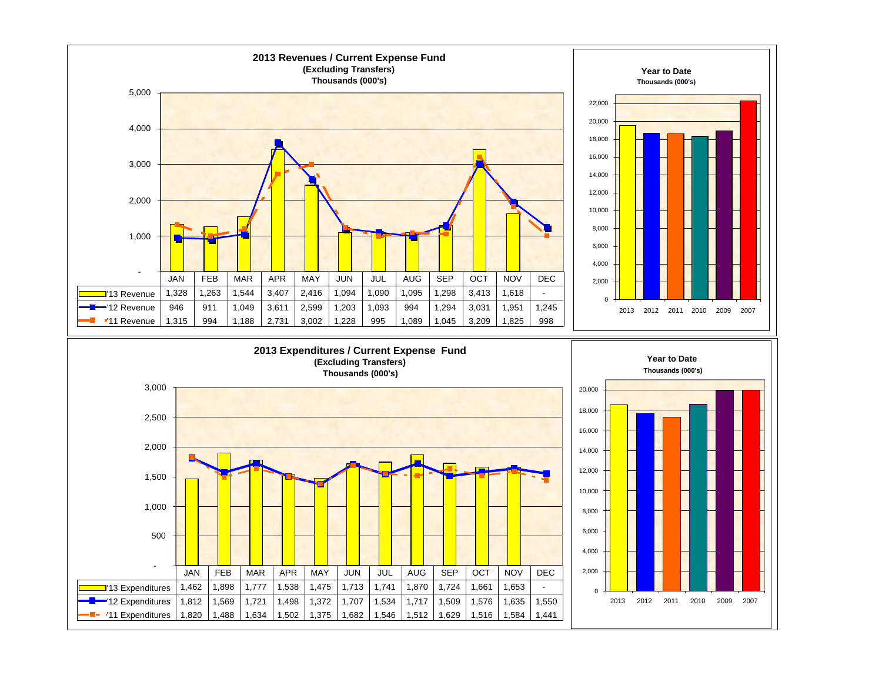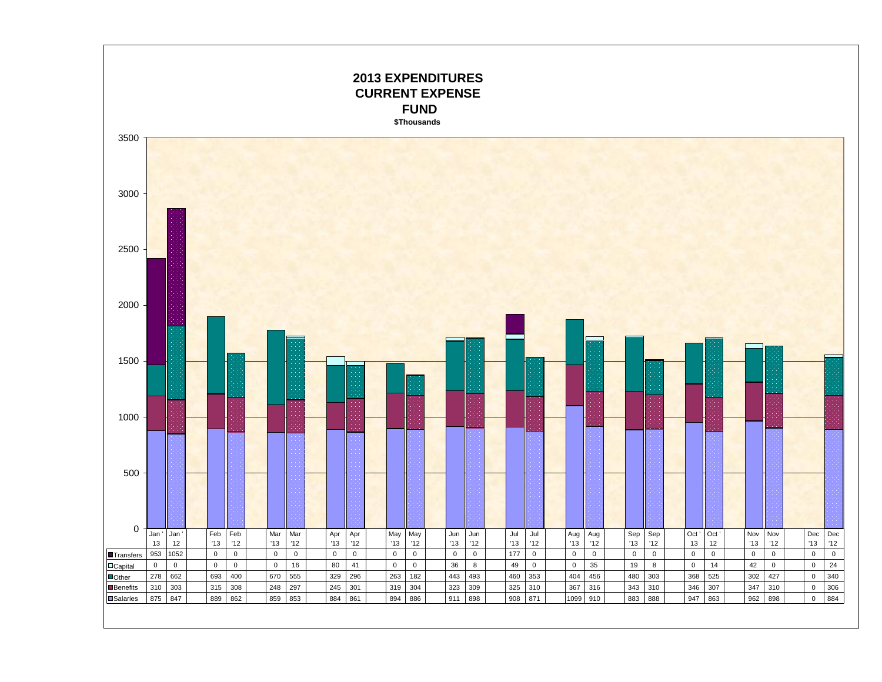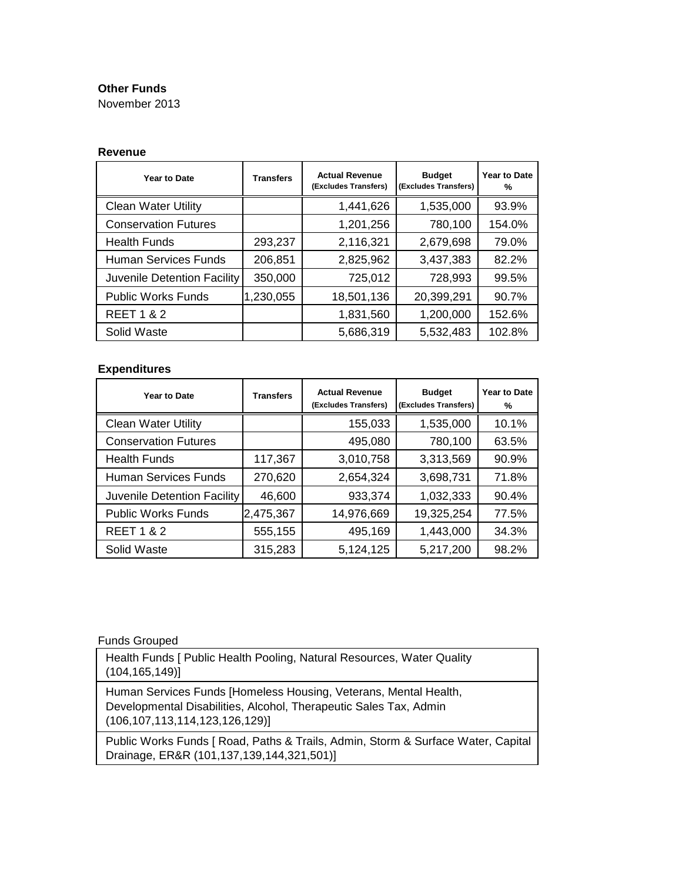#### **Other Funds**

November 2013

#### **Revenue**

| <b>Year to Date</b>         | <b>Transfers</b> | <b>Actual Revenue</b><br>(Excludes Transfers) | <b>Budget</b><br>(Excludes Transfers) | <b>Year to Date</b><br>% |
|-----------------------------|------------------|-----------------------------------------------|---------------------------------------|--------------------------|
| <b>Clean Water Utility</b>  |                  | 1,441,626                                     | 1,535,000                             | 93.9%                    |
| <b>Conservation Futures</b> |                  | 1,201,256                                     | 780,100                               | 154.0%                   |
| <b>Health Funds</b>         | 293,237          | 2,116,321                                     | 2,679,698                             | 79.0%                    |
| Human Services Funds        | 206,851          | 2,825,962                                     | 3,437,383                             | 82.2%                    |
| Juvenile Detention Facility | 350,000          | 725,012                                       | 728,993                               | 99.5%                    |
| <b>Public Works Funds</b>   | 1,230,055        | 18,501,136                                    | 20,399,291                            | 90.7%                    |
| <b>REET 1 &amp; 2</b>       |                  | 1,831,560                                     | 1,200,000                             | 152.6%                   |
| Solid Waste                 |                  | 5,686,319                                     | 5,532,483                             | 102.8%                   |

#### **Expenditures**

| Year to Date                | <b>Transfers</b> | <b>Actual Revenue</b><br>(Excludes Transfers) | <b>Budget</b><br>(Excludes Transfers) | Year to Date<br>% |
|-----------------------------|------------------|-----------------------------------------------|---------------------------------------|-------------------|
| <b>Clean Water Utility</b>  |                  | 155,033                                       | 1,535,000                             | 10.1%             |
| <b>Conservation Futures</b> |                  | 495,080                                       | 780,100                               | 63.5%             |
| <b>Health Funds</b>         | 117,367          | 3,010,758                                     | 3,313,569                             | 90.9%             |
| <b>Human Services Funds</b> | 270,620          | 2,654,324                                     | 3,698,731                             | 71.8%             |
| Juvenile Detention Facility | 46,600           | 933,374                                       | 1,032,333                             | 90.4%             |
| <b>Public Works Funds</b>   | 2,475,367        | 14,976,669                                    | 19,325,254                            | 77.5%             |
| <b>REET 1 &amp; 2</b>       | 555,155          | 495,169                                       | 1,443,000                             | 34.3%             |
| Solid Waste                 | 315,283          | 5,124,125                                     | 5,217,200                             | 98.2%             |

#### Funds Grouped

Health Funds [ Public Health Pooling, Natural Resources, Water Quality (104,165,149)]

Human Services Funds [Homeless Housing, Veterans, Mental Health, Developmental Disabilities, Alcohol, Therapeutic Sales Tax, Admin (106,107,113,114,123,126,129)]

Public Works Funds [ Road, Paths & Trails, Admin, Storm & Surface Water, Capital Drainage, ER&R (101,137,139,144,321,501)]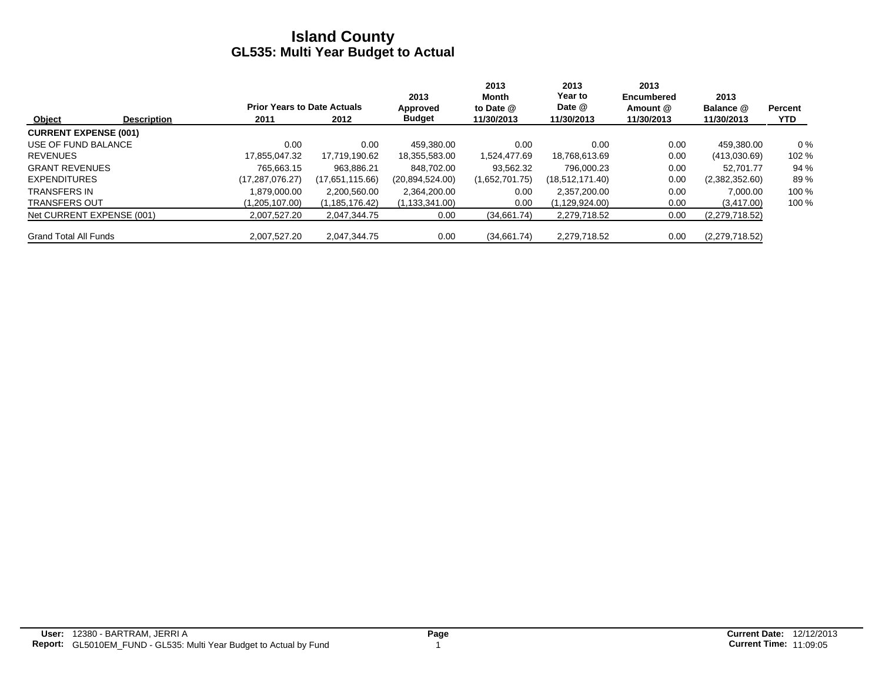|                              |                    |                                    |                  | 2013             | 2013<br>Month  | 2013<br>Year to | 2013<br><b>Encumbered</b> | 2013           |            |
|------------------------------|--------------------|------------------------------------|------------------|------------------|----------------|-----------------|---------------------------|----------------|------------|
|                              |                    | <b>Prior Years to Date Actuals</b> |                  | Approved         | to Date @      | Date @          | Amount @                  | Balance @      | Percent    |
| Object                       | <b>Description</b> | 2011                               | 2012             | <b>Budget</b>    | 11/30/2013     | 11/30/2013      | 11/30/2013                | 11/30/2013     | <b>YTD</b> |
| <b>CURRENT EXPENSE (001)</b> |                    |                                    |                  |                  |                |                 |                           |                |            |
| USE OF FUND BALANCE          |                    | 0.00                               | 0.00             | 459.380.00       | 0.00           | 0.00            | 0.00                      | 459.380.00     | $0\%$      |
| <b>REVENUES</b>              |                    | 17.855.047.32                      | 17,719,190.62    | 18,355,583.00    | 1,524,477.69   | 18,768,613.69   | 0.00                      | (413,030.69)   | 102 %      |
| <b>GRANT REVENUES</b>        |                    | 765.663.15                         | 963.886.21       | 848.702.00       | 93.562.32      | 796.000.23      | 0.00                      | 52.701.77      | 94 %       |
| <b>EXPENDITURES</b>          |                    | (17, 287, 076.27)                  | (17,651,115.66)  | (20.894.524.00)  | (1,652,701.75) | (18,512,171.40) | 0.00                      | (2,382,352.60) | 89%        |
| TRANSFERS IN                 |                    | 1.879.000.00                       | 2.200.560.00     | 2,364,200.00     | 0.00           | 2.357.200.00    | 0.00                      | 7.000.00       | 100 %      |
| <b>TRANSFERS OUT</b>         |                    | (1,205,107.00)                     | (1, 185, 176.42) | (1, 133, 341.00) | 0.00           | (1,129,924.00)  | 0.00                      | (3, 417.00)    | 100 %      |
| Net CURRENT EXPENSE (001)    |                    | 2.007.527.20                       | 2.047.344.75     | 0.00             | (34,661.74)    | 2,279,718.52    | 0.00                      | (2,279,718.52) |            |
| <b>Grand Total All Funds</b> |                    | 2.007.527.20                       | 2.047.344.75     | 0.00             | (34.661.74)    | 2,279,718.52    | 0.00                      | (2,279,718.52) |            |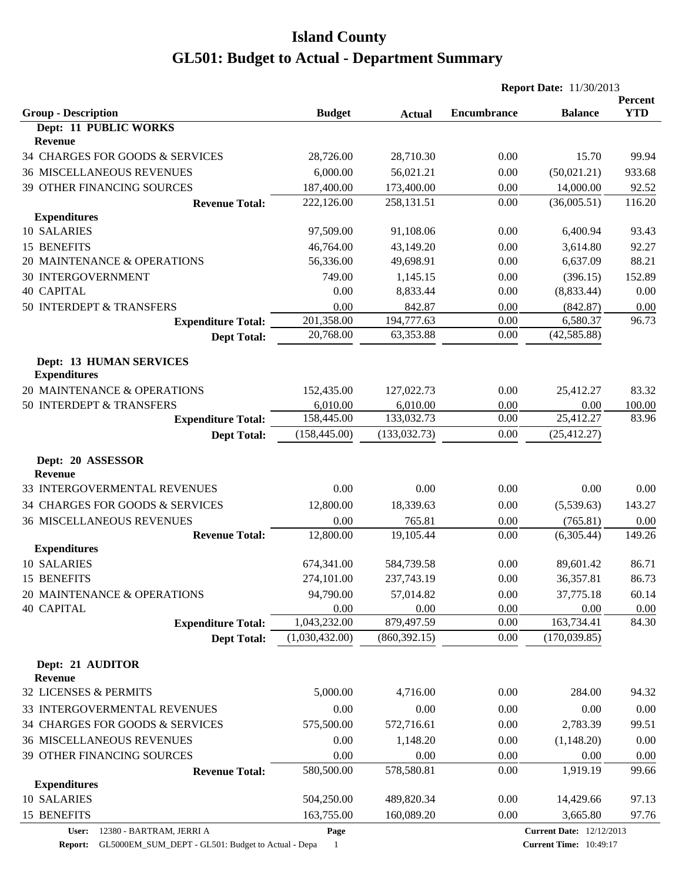|                                                       |                |               | <b>Report Date: 11/30/2013</b> |                                 |                       |
|-------------------------------------------------------|----------------|---------------|--------------------------------|---------------------------------|-----------------------|
| <b>Group - Description</b>                            | <b>Budget</b>  | <b>Actual</b> | <b>Encumbrance</b>             | <b>Balance</b>                  | Percent<br><b>YTD</b> |
| Dept: 11 PUBLIC WORKS<br><b>Revenue</b>               |                |               |                                |                                 |                       |
| 34 CHARGES FOR GOODS & SERVICES                       | 28,726.00      | 28,710.30     | 0.00                           | 15.70                           | 99.94                 |
| <b>36 MISCELLANEOUS REVENUES</b>                      | 6,000.00       | 56,021.21     | 0.00                           | (50,021.21)                     | 933.68                |
| 39 OTHER FINANCING SOURCES                            | 187,400.00     | 173,400.00    | 0.00                           | 14,000.00                       | 92.52                 |
| <b>Revenue Total:</b>                                 | 222,126.00     | 258,131.51    | 0.00                           | (36,005.51)                     | 116.20                |
| <b>Expenditures</b>                                   |                |               |                                |                                 |                       |
| 10 SALARIES                                           | 97,509.00      | 91,108.06     | 0.00                           | 6,400.94                        | 93.43                 |
| <b>15 BENEFITS</b>                                    | 46,764.00      | 43,149.20     | 0.00                           | 3,614.80                        | 92.27                 |
| 20 MAINTENANCE & OPERATIONS                           | 56,336.00      | 49,698.91     | 0.00                           | 6,637.09                        | 88.21                 |
| <b>30 INTERGOVERNMENT</b>                             | 749.00         | 1,145.15      | 0.00                           | (396.15)                        | 152.89                |
| <b>40 CAPITAL</b>                                     | 0.00           | 8,833.44      | 0.00                           | (8,833.44)                      | 0.00                  |
| 50 INTERDEPT & TRANSFERS                              | 0.00           | 842.87        | 0.00                           | (842.87)                        | 0.00                  |
| <b>Expenditure Total:</b>                             | 201,358.00     | 194,777.63    | 0.00                           | 6,580.37                        | 96.73                 |
| <b>Dept Total:</b>                                    | 20,768.00      | 63,353.88     | 0.00                           | (42, 585.88)                    |                       |
|                                                       |                |               |                                |                                 |                       |
| <b>Dept: 13 HUMAN SERVICES</b><br><b>Expenditures</b> |                |               |                                |                                 |                       |
| 20 MAINTENANCE & OPERATIONS                           | 152,435.00     | 127,022.73    | 0.00                           | 25,412.27                       | 83.32                 |
| 50 INTERDEPT & TRANSFERS                              | 6,010.00       | 6,010.00      | 0.00                           | 0.00                            | 100.00                |
| <b>Expenditure Total:</b>                             | 158,445.00     | 133,032.73    | 0.00                           | 25,412.27                       | 83.96                 |
| <b>Dept Total:</b>                                    | (158, 445.00)  | (133, 032.73) | 0.00                           | (25, 412.27)                    |                       |
| Dept: 20 ASSESSOR<br><b>Revenue</b>                   |                |               |                                |                                 |                       |
| 33 INTERGOVERMENTAL REVENUES                          | 0.00           | 0.00          | 0.00                           | 0.00                            | 0.00                  |
|                                                       |                |               |                                |                                 |                       |
| 34 CHARGES FOR GOODS & SERVICES                       | 12,800.00      | 18,339.63     | 0.00                           | (5,539.63)                      | 143.27                |
| <b>36 MISCELLANEOUS REVENUES</b>                      | 0.00           | 765.81        | 0.00                           | (765.81)                        | 0.00                  |
| <b>Revenue Total:</b><br><b>Expenditures</b>          | 12,800.00      | 19,105.44     | 0.00                           | (6,305.44)                      | 149.26                |
| 10 SALARIES                                           | 674,341.00     | 584,739.58    | 0.00                           | 89,601.42                       | 86.71                 |
| 15 BENEFITS                                           | 274,101.00     | 237,743.19    | 0.00                           | 36,357.81                       | 86.73                 |
| 20 MAINTENANCE & OPERATIONS                           | 94,790.00      | 57,014.82     | 0.00                           | 37,775.18                       | 60.14                 |
| <b>40 CAPITAL</b>                                     | 0.00           | 0.00          | 0.00                           | 0.00                            | 0.00                  |
| <b>Expenditure Total:</b>                             | 1,043,232.00   | 879,497.59    | 0.00                           | 163,734.41                      | 84.30                 |
| <b>Dept Total:</b>                                    | (1,030,432.00) | (860, 392.15) | 0.00                           | (170, 039.85)                   |                       |
| Dept: 21 AUDITOR                                      |                |               |                                |                                 |                       |
| <b>Revenue</b>                                        |                |               |                                |                                 |                       |
| 32 LICENSES & PERMITS                                 | 5,000.00       | 4,716.00      | 0.00                           | 284.00                          | 94.32                 |
| 33 INTERGOVERMENTAL REVENUES                          | 0.00           | 0.00          | 0.00                           | 0.00                            | 0.00                  |
| 34 CHARGES FOR GOODS & SERVICES                       | 575,500.00     | 572,716.61    | 0.00                           | 2,783.39                        | 99.51                 |
| <b>36 MISCELLANEOUS REVENUES</b>                      | 0.00           | 1,148.20      | 0.00                           | (1,148.20)                      | 0.00                  |
| 39 OTHER FINANCING SOURCES                            | 0.00           | 0.00          | 0.00                           | 0.00                            | 0.00                  |
| <b>Revenue Total:</b>                                 | 580,500.00     | 578,580.81    | 0.00                           | 1,919.19                        | 99.66                 |
| <b>Expenditures</b>                                   |                |               |                                |                                 |                       |
| 10 SALARIES                                           | 504,250.00     | 489,820.34    | 0.00                           | 14,429.66                       | 97.13                 |
| 15 BENEFITS                                           | 163,755.00     | 160,089.20    | 0.00                           | 3,665.80                        | 97.76                 |
| 12380 - BARTRAM, JERRI A<br>User:                     | Page           |               |                                | <b>Current Date: 12/12/2013</b> |                       |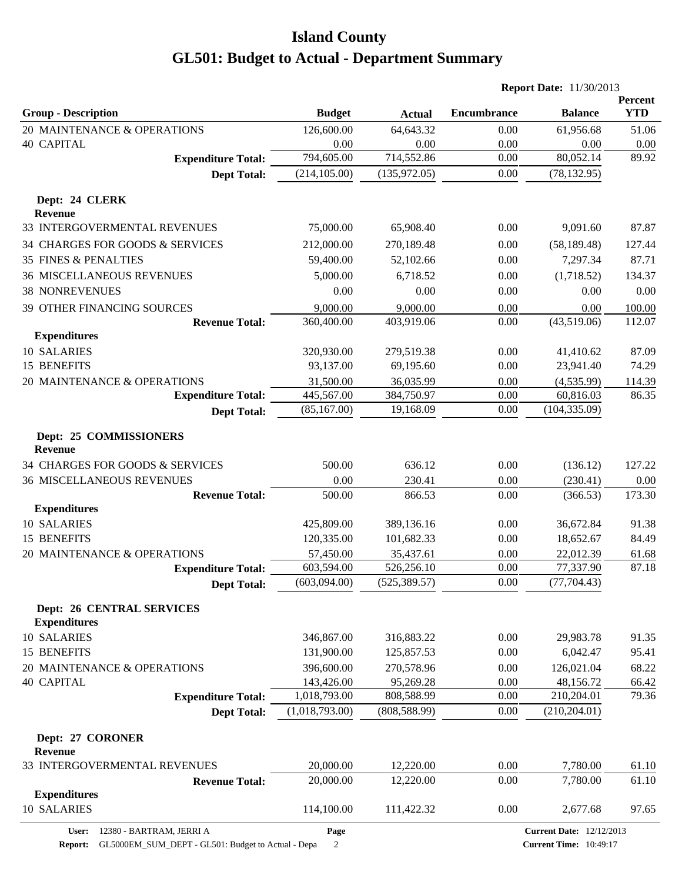|                                                         |                         |                         |                    | <b>Report Date: 11/30/2013</b>  |                       |
|---------------------------------------------------------|-------------------------|-------------------------|--------------------|---------------------------------|-----------------------|
| <b>Group - Description</b>                              | <b>Budget</b>           | <b>Actual</b>           | <b>Encumbrance</b> | <b>Balance</b>                  | Percent<br><b>YTD</b> |
| 20 MAINTENANCE & OPERATIONS                             | 126,600.00              | 64,643.32               | 0.00               | 61,956.68                       | 51.06                 |
| <b>40 CAPITAL</b>                                       | 0.00                    | 0.00                    | 0.00               | 0.00                            | 0.00                  |
| <b>Expenditure Total:</b>                               | 794,605.00              | 714,552.86              | 0.00               | 80,052.14                       | 89.92                 |
| <b>Dept Total:</b>                                      | (214, 105.00)           | (135, 972.05)           | 0.00               | (78, 132.95)                    |                       |
| Dept: 24 CLERK                                          |                         |                         |                    |                                 |                       |
| <b>Revenue</b>                                          |                         |                         |                    |                                 |                       |
| 33 INTERGOVERMENTAL REVENUES                            | 75,000.00               | 65,908.40               | 0.00               | 9,091.60                        | 87.87                 |
| 34 CHARGES FOR GOODS & SERVICES                         | 212,000.00              | 270,189.48              | 0.00               | (58, 189.48)                    | 127.44                |
| <b>35 FINES &amp; PENALTIES</b>                         | 59,400.00               | 52,102.66               | 0.00               | 7,297.34                        | 87.71                 |
| <b>36 MISCELLANEOUS REVENUES</b>                        | 5,000.00                | 6,718.52                | 0.00               | (1,718.52)                      | 134.37                |
| <b>38 NONREVENUES</b>                                   | 0.00                    | 0.00                    | 0.00               | 0.00                            | 0.00                  |
| 39 OTHER FINANCING SOURCES                              | 9,000.00                | 9,000.00                | 0.00               | 0.00                            | 100.00                |
| <b>Revenue Total:</b><br><b>Expenditures</b>            | 360,400.00              | 403,919.06              | 0.00               | (43,519.06)                     | 112.07                |
| 10 SALARIES                                             |                         |                         |                    |                                 | 87.09                 |
| 15 BENEFITS                                             | 320,930.00<br>93,137.00 | 279,519.38<br>69,195.60 | 0.00<br>0.00       | 41,410.62<br>23,941.40          | 74.29                 |
| 20 MAINTENANCE & OPERATIONS                             | 31,500.00               | 36,035.99               | 0.00               | (4,535.99)                      |                       |
| <b>Expenditure Total:</b>                               | 445,567.00              | 384,750.97              | 0.00               | 60,816.03                       | 114.39<br>86.35       |
| <b>Dept Total:</b>                                      | (85, 167.00)            | 19,168.09               | 0.00               | (104, 335.09)                   |                       |
|                                                         |                         |                         |                    |                                 |                       |
| Dept: 25 COMMISSIONERS<br>Revenue                       |                         |                         |                    |                                 |                       |
| 34 CHARGES FOR GOODS & SERVICES                         | 500.00                  | 636.12                  | 0.00               | (136.12)                        | 127.22                |
| <b>36 MISCELLANEOUS REVENUES</b>                        | 0.00                    | 230.41                  | 0.00               | (230.41)                        | 0.00                  |
| <b>Revenue Total:</b>                                   | 500.00                  | 866.53                  | 0.00               | (366.53)                        | 173.30                |
| <b>Expenditures</b>                                     |                         |                         |                    |                                 |                       |
| 10 SALARIES                                             | 425,809.00              | 389,136.16              | 0.00               | 36,672.84                       | 91.38                 |
| 15 BENEFITS                                             | 120,335.00              | 101,682.33              | 0.00               | 18,652.67                       | 84.49                 |
| 20 MAINTENANCE & OPERATIONS                             | 57,450.00               | 35,437.61               | 0.00               | 22,012.39                       | 61.68                 |
| <b>Expenditure Total:</b>                               | 603,594.00              | 526,256.10              | 0.00               | 77,337.90                       | 87.18                 |
| <b>Dept Total:</b>                                      | (603,094.00)            | (525, 389.57)           | $0.00\,$           | (77, 704.43)                    |                       |
| <b>Dept: 26 CENTRAL SERVICES</b><br><b>Expenditures</b> |                         |                         |                    |                                 |                       |
| 10 SALARIES                                             | 346,867.00              | 316,883.22              | 0.00               | 29,983.78                       | 91.35                 |
| <b>15 BENEFITS</b>                                      | 131,900.00              | 125,857.53              | 0.00               | 6,042.47                        | 95.41                 |
| 20 MAINTENANCE & OPERATIONS                             | 396,600.00              | 270,578.96              | 0.00               | 126,021.04                      | 68.22                 |
| <b>40 CAPITAL</b>                                       | 143,426.00              | 95,269.28               | 0.00               | 48,156.72                       | 66.42                 |
| <b>Expenditure Total:</b>                               | 1,018,793.00            | 808,588.99              | 0.00               | 210,204.01                      | 79.36                 |
| <b>Dept Total:</b>                                      | (1,018,793.00)          | (808, 588.99)           | 0.00               | (210, 204.01)                   |                       |
| Dept: 27 CORONER<br><b>Revenue</b>                      |                         |                         |                    |                                 |                       |
| 33 INTERGOVERMENTAL REVENUES                            | 20,000.00               | 12,220.00               | 0.00               | 7,780.00                        | 61.10                 |
| <b>Revenue Total:</b>                                   | 20,000.00               | 12,220.00               | 0.00               | 7,780.00                        | 61.10                 |
| <b>Expenditures</b>                                     |                         |                         |                    |                                 |                       |
| 10 SALARIES                                             | 114,100.00              | 111,422.32              | 0.00               | 2,677.68                        | 97.65                 |
| 12380 - BARTRAM, JERRI A<br>User:                       | Page                    |                         |                    | <b>Current Date: 12/12/2013</b> |                       |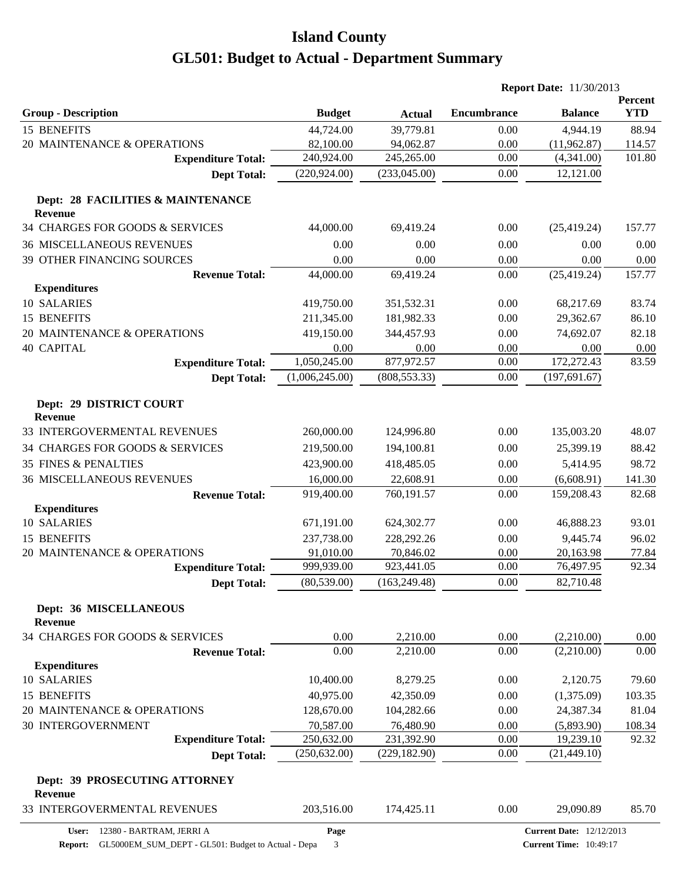|                                           |                |               | <b>Report Date: 11/30/2013</b> |                                 |                       |
|-------------------------------------------|----------------|---------------|--------------------------------|---------------------------------|-----------------------|
| <b>Group - Description</b>                | <b>Budget</b>  | <b>Actual</b> | <b>Encumbrance</b>             | <b>Balance</b>                  | Percent<br><b>YTD</b> |
| 15 BENEFITS                               | 44,724.00      | 39,779.81     | 0.00                           | 4,944.19                        | 88.94                 |
| 20 MAINTENANCE & OPERATIONS               | 82,100.00      | 94,062.87     | 0.00                           | (11,962.87)                     | 114.57                |
| <b>Expenditure Total:</b>                 | 240,924.00     | 245,265.00    | 0.00                           | (4,341.00)                      | 101.80                |
| <b>Dept Total:</b>                        | (220, 924.00)  | (233,045.00)  | 0.00                           | 12,121.00                       |                       |
| Dept: 28 FACILITIES & MAINTENANCE         |                |               |                                |                                 |                       |
| <b>Revenue</b>                            |                |               |                                |                                 |                       |
| 34 CHARGES FOR GOODS & SERVICES           | 44,000.00      | 69,419.24     | 0.00                           | (25, 419.24)                    | 157.77                |
| <b>36 MISCELLANEOUS REVENUES</b>          | 0.00           | 0.00          | 0.00                           | 0.00                            | 0.00                  |
| 39 OTHER FINANCING SOURCES                | 0.00           | 0.00          | 0.00                           | 0.00                            | 0.00                  |
| <b>Revenue Total:</b>                     | 44,000.00      | 69,419.24     | $0.00\,$                       | (25, 419.24)                    | 157.77                |
| <b>Expenditures</b>                       |                |               |                                |                                 |                       |
| 10 SALARIES                               | 419,750.00     | 351,532.31    | 0.00                           | 68,217.69                       | 83.74                 |
| 15 BENEFITS                               | 211,345.00     | 181,982.33    | 0.00                           | 29,362.67                       | 86.10                 |
| 20 MAINTENANCE & OPERATIONS               | 419,150.00     | 344,457.93    | 0.00                           | 74,692.07                       | 82.18                 |
| <b>40 CAPITAL</b>                         | 0.00           | 0.00          | 0.00                           | 0.00                            | 0.00                  |
| <b>Expenditure Total:</b>                 | 1,050,245.00   | 877,972.57    | 0.00                           | 172,272.43                      | 83.59                 |
| <b>Dept Total:</b>                        | (1,006,245.00) | (808, 553.33) | 0.00                           | (197, 691.67)                   |                       |
| Dept: 29 DISTRICT COURT<br><b>Revenue</b> |                |               |                                |                                 |                       |
| 33 INTERGOVERMENTAL REVENUES              | 260,000.00     | 124,996.80    | 0.00                           | 135,003.20                      | 48.07                 |
| 34 CHARGES FOR GOODS & SERVICES           | 219,500.00     | 194,100.81    | 0.00                           | 25,399.19                       | 88.42                 |
| <b>35 FINES &amp; PENALTIES</b>           | 423,900.00     | 418,485.05    | 0.00                           | 5,414.95                        | 98.72                 |
| <b>36 MISCELLANEOUS REVENUES</b>          | 16,000.00      | 22,608.91     | 0.00                           | (6,608.91)                      | 141.30                |
| <b>Revenue Total:</b>                     | 919,400.00     | 760,191.57    | 0.00                           | 159,208.43                      | 82.68                 |
| <b>Expenditures</b>                       |                |               |                                |                                 |                       |
| 10 SALARIES                               | 671,191.00     | 624,302.77    | 0.00                           | 46,888.23                       | 93.01                 |
| 15 BENEFITS                               | 237,738.00     | 228,292.26    | 0.00                           | 9,445.74                        | 96.02                 |
| 20 MAINTENANCE & OPERATIONS               | 91,010.00      | 70,846.02     | 0.00                           | 20,163.98                       | 77.84                 |
| <b>Expenditure Total:</b>                 | 999,939.00     | 923,441.05    | 0.00                           | 76,497.95                       | 92.34                 |
| <b>Dept Total:</b>                        | (80, 539.00)   | (163, 249.48) | 0.00                           | 82,710.48                       |                       |
| Dept: 36 MISCELLANEOUS<br><b>Revenue</b>  |                |               |                                |                                 |                       |
| 34 CHARGES FOR GOODS & SERVICES           | 0.00           | 2,210.00      | 0.00                           | (2,210.00)                      | 0.00                  |
| <b>Revenue Total:</b>                     | 0.00           | 2,210.00      | 0.00                           | (2,210.00)                      | 0.00                  |
| <b>Expenditures</b>                       |                |               |                                |                                 |                       |
| 10 SALARIES                               | 10,400.00      | 8,279.25      | 0.00                           | 2,120.75                        | 79.60                 |
| 15 BENEFITS                               | 40,975.00      | 42,350.09     | 0.00                           | (1,375.09)                      | 103.35                |
| 20 MAINTENANCE & OPERATIONS               | 128,670.00     | 104,282.66    | 0.00                           | 24,387.34                       | 81.04                 |
| <b>30 INTERGOVERNMENT</b>                 | 70,587.00      | 76,480.90     | 0.00                           | (5,893.90)                      | 108.34                |
| <b>Expenditure Total:</b>                 | 250,632.00     | 231,392.90    | 0.00                           | 19,239.10                       | 92.32                 |
| <b>Dept Total:</b>                        | (250, 632.00)  | (229, 182.90) | 0.00                           | (21, 449.10)                    |                       |
| Dept: 39 PROSECUTING ATTORNEY<br>Revenue  |                |               |                                |                                 |                       |
| 33 INTERGOVERMENTAL REVENUES              | 203,516.00     | 174,425.11    | 0.00                           | 29,090.89                       | 85.70                 |
| 12380 - BARTRAM, JERRI A<br>User:         | Page           |               |                                | <b>Current Date: 12/12/2013</b> |                       |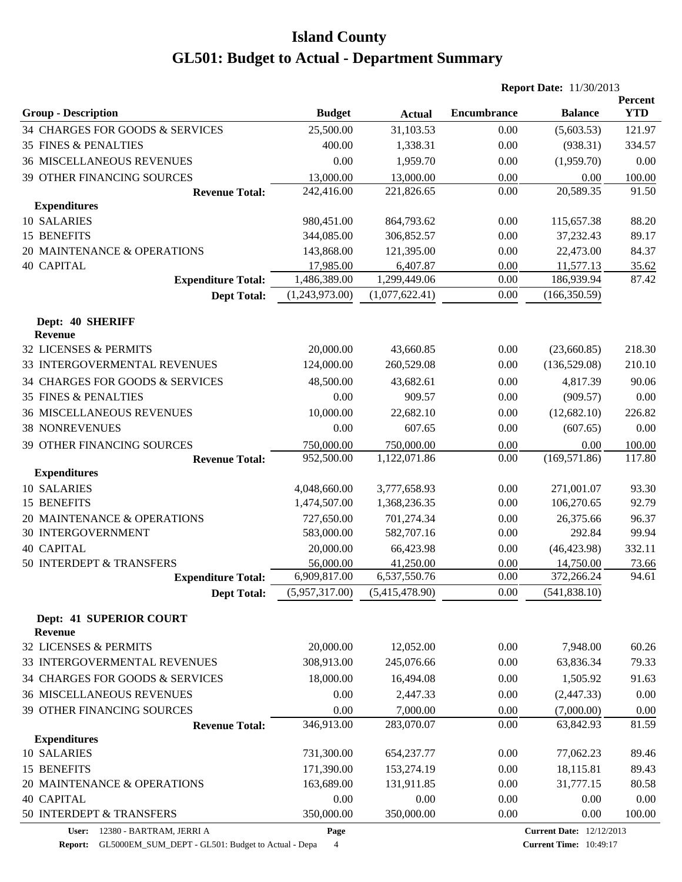|                                           |                |                |                    | <b>Report Date: 11/30/2013</b> |                              |
|-------------------------------------------|----------------|----------------|--------------------|--------------------------------|------------------------------|
| <b>Group - Description</b>                | <b>Budget</b>  | <b>Actual</b>  | <b>Encumbrance</b> | <b>Balance</b>                 | <b>Percent</b><br><b>YTD</b> |
| 34 CHARGES FOR GOODS & SERVICES           | 25,500.00      | 31,103.53      | 0.00               | (5,603.53)                     | 121.97                       |
| <b>35 FINES &amp; PENALTIES</b>           | 400.00         | 1,338.31       | 0.00               | (938.31)                       | 334.57                       |
| <b>36 MISCELLANEOUS REVENUES</b>          | 0.00           | 1,959.70       | 0.00               | (1,959.70)                     | 0.00                         |
| 39 OTHER FINANCING SOURCES                | 13,000.00      | 13,000.00      | 0.00               | 0.00                           | 100.00                       |
| <b>Revenue Total:</b>                     | 242,416.00     | 221,826.65     | 0.00               | 20,589.35                      | 91.50                        |
| <b>Expenditures</b>                       |                |                |                    |                                |                              |
| 10 SALARIES                               | 980,451.00     | 864,793.62     | 0.00               | 115,657.38                     | 88.20                        |
| 15 BENEFITS                               | 344,085.00     | 306,852.57     | 0.00               | 37,232.43                      | 89.17                        |
| 20 MAINTENANCE & OPERATIONS               | 143,868.00     | 121,395.00     | 0.00               | 22,473.00                      | 84.37                        |
| <b>40 CAPITAL</b>                         | 17,985.00      | 6,407.87       | 0.00               | 11,577.13                      | 35.62                        |
| <b>Expenditure Total:</b>                 | 1,486,389.00   | 1,299,449.06   | 0.00               | 186,939.94                     | 87.42                        |
| <b>Dept Total:</b>                        | (1,243,973.00) | (1,077,622.41) | 0.00               | (166, 350.59)                  |                              |
| Dept: 40 SHERIFF                          |                |                |                    |                                |                              |
| <b>Revenue</b>                            |                |                |                    |                                |                              |
| 32 LICENSES & PERMITS                     | 20,000.00      | 43,660.85      | 0.00               | (23,660.85)                    | 218.30                       |
| 33 INTERGOVERMENTAL REVENUES              | 124,000.00     | 260,529.08     | 0.00               | (136,529.08)                   | 210.10                       |
| 34 CHARGES FOR GOODS & SERVICES           | 48,500.00      | 43,682.61      | 0.00               | 4,817.39                       | 90.06                        |
| <b>35 FINES &amp; PENALTIES</b>           | 0.00           | 909.57         | 0.00               | (909.57)                       | 0.00                         |
| <b>36 MISCELLANEOUS REVENUES</b>          | 10,000.00      | 22,682.10      | 0.00               | (12,682.10)                    | 226.82                       |
| <b>38 NONREVENUES</b>                     | 0.00           | 607.65         | 0.00               | (607.65)                       | 0.00                         |
| 39 OTHER FINANCING SOURCES                | 750,000.00     | 750,000.00     | 0.00               | 0.00                           | 100.00                       |
| <b>Revenue Total:</b>                     | 952,500.00     | 1,122,071.86   | 0.00               | (169, 571.86)                  | 117.80                       |
| <b>Expenditures</b>                       |                |                |                    |                                |                              |
| 10 SALARIES                               | 4,048,660.00   | 3,777,658.93   | 0.00               | 271,001.07                     | 93.30                        |
| 15 BENEFITS                               | 1,474,507.00   | 1,368,236.35   | 0.00               | 106,270.65                     | 92.79                        |
| 20 MAINTENANCE & OPERATIONS               | 727,650.00     | 701,274.34     | 0.00               | 26,375.66                      | 96.37                        |
| <b>30 INTERGOVERNMENT</b>                 | 583,000.00     | 582,707.16     | 0.00               | 292.84                         | 99.94                        |
| <b>40 CAPITAL</b>                         | 20,000.00      | 66,423.98      | 0.00               | (46, 423.98)                   | 332.11                       |
| 50 INTERDEPT & TRANSFERS                  | 56,000.00      | 41,250.00      | 0.00<br>0.00       | 14,750.00                      | 73.66<br>94.61               |
| <b>Expenditure Total:</b>                 | 6,909,817.00   | 6,537,550.76   |                    | 372,266.24                     |                              |
| <b>Dept Total:</b>                        | (5,957,317.00) | (5,415,478.90) | 0.00               | (541, 838.10)                  |                              |
| Dept: 41 SUPERIOR COURT<br><b>Revenue</b> |                |                |                    |                                |                              |
| 32 LICENSES & PERMITS                     | 20,000.00      | 12,052.00      | 0.00               | 7,948.00                       | 60.26                        |
| 33 INTERGOVERMENTAL REVENUES              | 308,913.00     | 245,076.66     | 0.00               | 63,836.34                      | 79.33                        |
| 34 CHARGES FOR GOODS & SERVICES           | 18,000.00      | 16,494.08      | 0.00               | 1,505.92                       | 91.63                        |
| <b>36 MISCELLANEOUS REVENUES</b>          | 0.00           | 2,447.33       | 0.00               | (2,447.33)                     | 0.00                         |
| 39 OTHER FINANCING SOURCES                | 0.00           | 7,000.00       | 0.00               | (7,000.00)                     | 0.00                         |
| <b>Revenue Total:</b>                     | 346,913.00     | 283,070.07     | 0.00               | 63,842.93                      | 81.59                        |
| <b>Expenditures</b>                       |                |                |                    |                                |                              |
| 10 SALARIES                               | 731,300.00     | 654,237.77     | 0.00               | 77,062.23                      | 89.46                        |
| 15 BENEFITS                               | 171,390.00     | 153,274.19     | 0.00               | 18,115.81                      | 89.43                        |
| 20 MAINTENANCE & OPERATIONS               | 163,689.00     | 131,911.85     | 0.00               | 31,777.15                      | 80.58                        |
| <b>40 CAPITAL</b>                         | 0.00           | 0.00           | 0.00               | 0.00                           | 0.00                         |
| 50 INTERDEPT & TRANSFERS                  | 350,000.00     | 350,000.00     | 0.00               | 0.00                           | 100.00                       |

**User:** 12380 - BARTRAM, JERRI A

**Page**

**Report:** GL5000EM\_SUM\_DEPT - GL501: Budget to Actual - Depa 4

**Current Time:** 10:49:17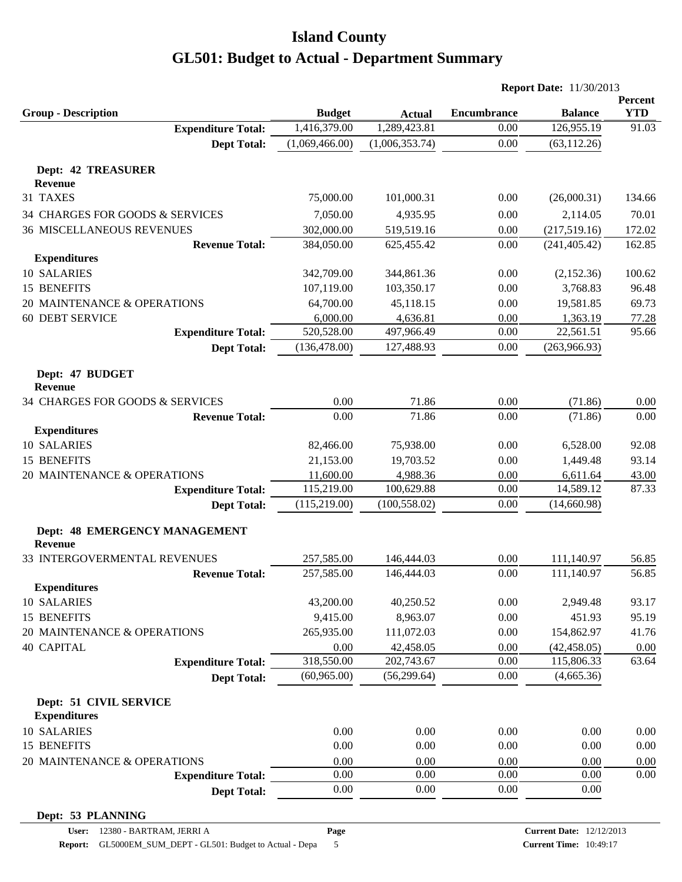|                                                 |                |                | <b>Report Date: 11/30/2013</b> |                |                       |
|-------------------------------------------------|----------------|----------------|--------------------------------|----------------|-----------------------|
| <b>Group - Description</b>                      | <b>Budget</b>  | <b>Actual</b>  | <b>Encumbrance</b>             | <b>Balance</b> | Percent<br><b>YTD</b> |
| <b>Expenditure Total:</b>                       | 1,416,379.00   | 1,289,423.81   | 0.00                           | 126,955.19     | 91.03                 |
| <b>Dept Total:</b>                              | (1,069,466.00) | (1,006,353.74) | 0.00                           | (63, 112.26)   |                       |
| <b>Dept: 42 TREASURER</b>                       |                |                |                                |                |                       |
| <b>Revenue</b>                                  |                |                |                                |                |                       |
| 31 TAXES                                        | 75,000.00      | 101,000.31     | 0.00                           | (26,000.31)    | 134.66                |
| 34 CHARGES FOR GOODS & SERVICES                 | 7,050.00       | 4,935.95       | 0.00                           | 2,114.05       | 70.01                 |
| <b>36 MISCELLANEOUS REVENUES</b>                | 302,000.00     | 519,519.16     | 0.00                           | (217,519.16)   | 172.02                |
| <b>Revenue Total:</b>                           | 384,050.00     | 625,455.42     | 0.00                           | (241, 405.42)  | 162.85                |
| <b>Expenditures</b>                             |                |                |                                |                |                       |
| 10 SALARIES                                     | 342,709.00     | 344,861.36     | 0.00                           | (2,152.36)     | 100.62                |
| 15 BENEFITS                                     | 107,119.00     | 103,350.17     | 0.00                           | 3,768.83       | 96.48                 |
| 20 MAINTENANCE & OPERATIONS                     | 64,700.00      | 45,118.15      | 0.00                           | 19,581.85      | 69.73                 |
| <b>60 DEBT SERVICE</b>                          | 6,000.00       | 4,636.81       | 0.00                           | 1,363.19       | 77.28                 |
| <b>Expenditure Total:</b>                       | 520,528.00     | 497,966.49     | 0.00                           | 22,561.51      | 95.66                 |
|                                                 | (136, 478.00)  | 127,488.93     | 0.00                           | (263,966.93)   |                       |
| <b>Dept Total:</b>                              |                |                |                                |                |                       |
| Dept: 47 BUDGET<br><b>Revenue</b>               |                |                |                                |                |                       |
| 34 CHARGES FOR GOODS & SERVICES                 | 0.00           | 71.86          | 0.00                           | (71.86)        | 0.00                  |
| <b>Revenue Total:</b>                           | 0.00           | 71.86          | 0.00                           | (71.86)        | 0.00                  |
| <b>Expenditures</b>                             |                |                |                                |                |                       |
| 10 SALARIES                                     | 82,466.00      | 75,938.00      | 0.00                           | 6,528.00       | 92.08                 |
| 15 BENEFITS                                     | 21,153.00      | 19,703.52      | 0.00                           | 1,449.48       | 93.14                 |
| 20 MAINTENANCE & OPERATIONS                     | 11,600.00      | 4,988.36       | 0.00                           | 6,611.64       | 43.00                 |
| <b>Expenditure Total:</b>                       | 115,219.00     | 100,629.88     | 0.00                           | 14,589.12      | 87.33                 |
| <b>Dept Total:</b>                              | (115, 219.00)  | (100, 558.02)  | 0.00                           | (14,660.98)    |                       |
|                                                 |                |                |                                |                |                       |
| Dept: 48 EMERGENCY MANAGEMENT<br><b>Revenue</b> |                |                |                                |                |                       |
| 33 INTERGOVERMENTAL REVENUES                    | 257,585.00     | 146,444.03     | 0.00                           | 111,140.97     | 56.85                 |
| <b>Revenue Total:</b>                           | 257,585.00     | 146,444.03     | 0.00                           | 111,140.97     | 56.85                 |
| <b>Expenditures</b>                             |                |                |                                |                |                       |
| 10 SALARIES                                     | 43,200.00      | 40,250.52      | 0.00                           | 2,949.48       | 93.17                 |
| 15 BENEFITS                                     | 9,415.00       | 8,963.07       | 0.00                           | 451.93         | 95.19                 |
| 20 MAINTENANCE & OPERATIONS                     | 265,935.00     | 111,072.03     | 0.00                           | 154,862.97     | 41.76                 |
| <b>40 CAPITAL</b>                               | 0.00           | 42,458.05      | 0.00                           | (42, 458.05)   | 0.00                  |
| <b>Expenditure Total:</b>                       | 318,550.00     | 202,743.67     | 0.00                           | 115,806.33     | 63.64                 |
| <b>Dept Total:</b>                              | (60, 965.00)   | (56, 299.64)   | 0.00                           | (4,665.36)     |                       |
|                                                 |                |                |                                |                |                       |
| Dept: 51 CIVIL SERVICE                          |                |                |                                |                |                       |
| <b>Expenditures</b>                             |                |                |                                |                |                       |
| 10 SALARIES                                     | 0.00           | 0.00           | 0.00                           | 0.00           | 0.00                  |
| 15 BENEFITS                                     | 0.00           | 0.00           | 0.00                           | 0.00           | 0.00                  |
| 20 MAINTENANCE & OPERATIONS                     | 0.00           | 0.00           | 0.00                           | 0.00           | 0.00                  |
| <b>Expenditure Total:</b>                       | 0.00           | 0.00           | 0.00                           | 0.00           | 0.00                  |
| <b>Dept Total:</b>                              | 0.00           | 0.00           | 0.00                           | 0.00           |                       |
| Dept: 53 PLANNING                               |                |                |                                |                |                       |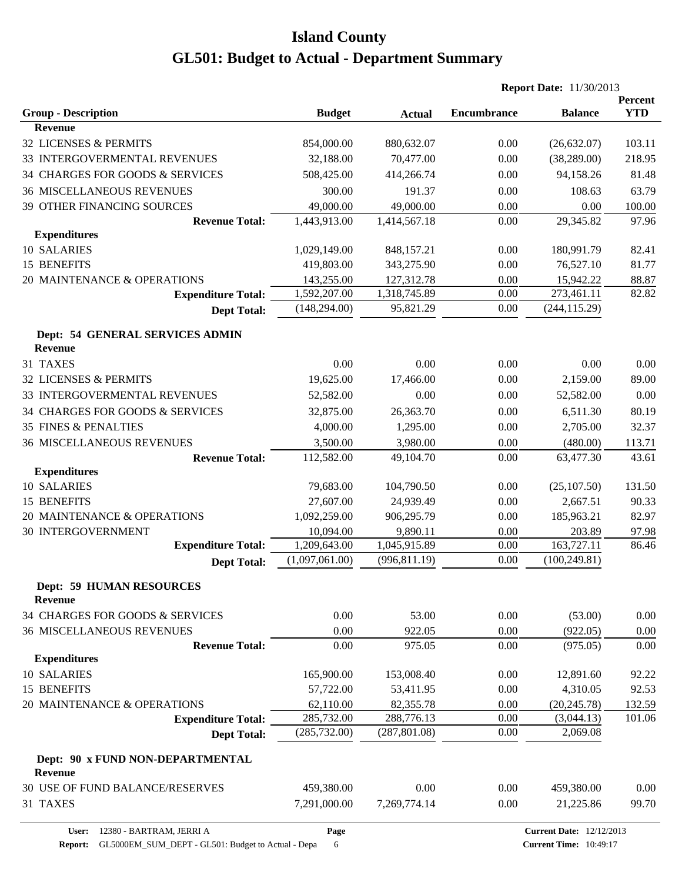|                                                    |                |                       |                    | <b>Report Date: 11/30/2013</b> |                       |
|----------------------------------------------------|----------------|-----------------------|--------------------|--------------------------------|-----------------------|
| <b>Group - Description</b>                         | <b>Budget</b>  |                       | <b>Encumbrance</b> | <b>Balance</b>                 | Percent<br><b>YTD</b> |
| <b>Revenue</b>                                     |                | <b>Actual</b>         |                    |                                |                       |
| 32 LICENSES & PERMITS                              | 854,000.00     | 880,632.07            | 0.00               | (26,632.07)                    | 103.11                |
| 33 INTERGOVERMENTAL REVENUES                       | 32,188.00      | 70,477.00             | 0.00               | (38, 289.00)                   | 218.95                |
| 34 CHARGES FOR GOODS & SERVICES                    | 508,425.00     | 414,266.74            | 0.00               | 94,158.26                      | 81.48                 |
| <b>36 MISCELLANEOUS REVENUES</b>                   | 300.00         | 191.37                | 0.00               | 108.63                         | 63.79                 |
| 39 OTHER FINANCING SOURCES                         | 49,000.00      | 49,000.00             | 0.00               | 0.00                           | 100.00                |
| <b>Revenue Total:</b>                              | 1,443,913.00   | 1,414,567.18          | 0.00               | 29,345.82                      | 97.96                 |
| <b>Expenditures</b>                                |                |                       |                    |                                |                       |
| 10 SALARIES                                        | 1,029,149.00   | 848,157.21            | 0.00               | 180,991.79                     | 82.41                 |
| 15 BENEFITS                                        | 419,803.00     | 343,275.90            | 0.00               | 76,527.10                      | 81.77                 |
| 20 MAINTENANCE & OPERATIONS                        | 143,255.00     | 127,312.78            | 0.00               | 15,942.22                      | 88.87                 |
| <b>Expenditure Total:</b>                          | 1,592,207.00   | 1,318,745.89          | 0.00               | 273,461.11                     | 82.82                 |
| <b>Dept Total:</b>                                 | (148, 294.00)  | 95,821.29             | 0.00               | (244, 115.29)                  |                       |
| Dept: 54 GENERAL SERVICES ADMIN<br><b>Revenue</b>  |                |                       |                    |                                |                       |
| 31 TAXES                                           | 0.00           | 0.00                  | 0.00               | 0.00                           | 0.00                  |
| 32 LICENSES & PERMITS                              | 19,625.00      | 17,466.00             | 0.00               | 2,159.00                       | 89.00                 |
| 33 INTERGOVERMENTAL REVENUES                       | 52,582.00      | 0.00                  | 0.00               | 52,582.00                      | 0.00                  |
|                                                    |                |                       |                    |                                | 80.19                 |
| 34 CHARGES FOR GOODS & SERVICES                    | 32,875.00      | 26,363.70             | 0.00               | 6,511.30                       |                       |
| <b>35 FINES &amp; PENALTIES</b>                    | 4,000.00       | 1,295.00              | 0.00               | 2,705.00                       | 32.37                 |
| <b>36 MISCELLANEOUS REVENUES</b>                   | 3,500.00       | 3,980.00<br>49,104.70 | 0.00<br>0.00       | (480.00)                       | 113.71<br>43.61       |
| <b>Revenue Total:</b><br><b>Expenditures</b>       | 112,582.00     |                       |                    | 63,477.30                      |                       |
| 10 SALARIES                                        | 79,683.00      | 104,790.50            | 0.00               | (25, 107.50)                   | 131.50                |
| <b>15 BENEFITS</b>                                 | 27,607.00      | 24,939.49             | 0.00               | 2,667.51                       | 90.33                 |
| 20 MAINTENANCE & OPERATIONS                        | 1,092,259.00   | 906,295.79            | 0.00               | 185,963.21                     | 82.97                 |
| <b>30 INTERGOVERNMENT</b>                          | 10,094.00      | 9,890.11              | 0.00               | 203.89                         | 97.98                 |
| <b>Expenditure Total:</b>                          | 1,209,643.00   | 1,045,915.89          | 0.00               | 163,727.11                     | 86.46                 |
| <b>Dept Total:</b>                                 | (1,097,061.00) | (996, 811.19)         | 0.00               | (100, 249.81)                  |                       |
| <b>Dept: 59 HUMAN RESOURCES</b><br><b>Revenue</b>  |                |                       |                    |                                |                       |
| 34 CHARGES FOR GOODS & SERVICES                    | 0.00           | 53.00                 | 0.00               | (53.00)                        | 0.00                  |
| <b>36 MISCELLANEOUS REVENUES</b>                   | 0.00           | 922.05                | 0.00               | (922.05)                       | 0.00                  |
| <b>Revenue Total:</b>                              | 0.00           | 975.05                | 0.00               | (975.05)                       | 0.00                  |
| <b>Expenditures</b>                                |                |                       |                    |                                |                       |
| 10 SALARIES                                        | 165,900.00     | 153,008.40            | 0.00               | 12,891.60                      | 92.22                 |
| 15 BENEFITS                                        | 57,722.00      | 53,411.95             | 0.00               | 4,310.05                       | 92.53                 |
| 20 MAINTENANCE & OPERATIONS                        | 62,110.00      | 82,355.78             | 0.00               | (20, 245.78)                   | 132.59                |
| <b>Expenditure Total:</b>                          | 285,732.00     | 288,776.13            | 0.00               | (3,044.13)                     | 101.06                |
| <b>Dept Total:</b>                                 | (285, 732.00)  | (287, 801.08)         | 0.00               | 2,069.08                       |                       |
| Dept: 90 x FUND NON-DEPARTMENTAL<br><b>Revenue</b> |                |                       |                    |                                |                       |
| 30 USE OF FUND BALANCE/RESERVES                    | 459,380.00     | 0.00                  | 0.00               | 459,380.00                     | 0.00                  |
| 31 TAXES                                           | 7,291,000.00   | 7,269,774.14          | 0.00               | 21,225.86                      | 99.70                 |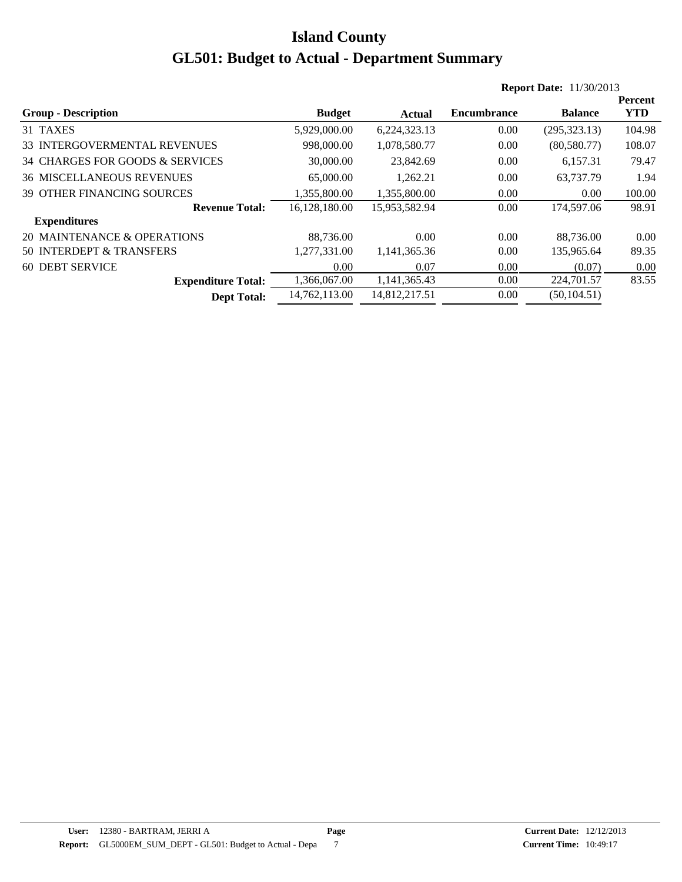|                                   |               |               |                    | <b>Report Date: 11/30/2013</b> |            |
|-----------------------------------|---------------|---------------|--------------------|--------------------------------|------------|
|                                   |               |               |                    |                                | Percent    |
| <b>Group - Description</b>        | <b>Budget</b> | Actual        | <b>Encumbrance</b> | <b>Balance</b>                 | <b>YTD</b> |
| 31 TAXES                          | 5,929,000.00  | 6,224,323.13  | 0.00               | (295, 323.13)                  | 104.98     |
| 33 INTERGOVERMENTAL REVENUES      | 998,000.00    | 1,078,580.77  | 0.00               | (80,580.77)                    | 108.07     |
| 34 CHARGES FOR GOODS & SERVICES   | 30,000.00     | 23.842.69     | 0.00               | 6.157.31                       | 79.47      |
| <b>36 MISCELLANEOUS REVENUES</b>  | 65,000.00     | 1.262.21      | 0.00               | 63,737.79                      | 1.94       |
| <b>39 OTHER FINANCING SOURCES</b> | 1,355,800.00  | 1.355.800.00  | 0.00               | 0.00                           | 100.00     |
| <b>Revenue Total:</b>             | 16.128.180.00 | 15,953,582.94 | 0.00               | 174,597.06                     | 98.91      |
| <b>Expenditures</b>               |               |               |                    |                                |            |
| 20 MAINTENANCE & OPERATIONS       | 88,736.00     | 0.00          | 0.00               | 88,736.00                      | 0.00       |
| 50 INTERDEPT & TRANSFERS          | 1,277,331.00  | 1,141,365.36  | 0.00               | 135,965.64                     | 89.35      |
| <b>60 DEBT SERVICE</b>            | 0.00          | 0.07          | 0.00               | (0.07)                         | 0.00       |
| <b>Expenditure Total:</b>         | 1,366,067.00  | 1,141,365.43  | 0.00               | 224,701.57                     | 83.55      |
| <b>Dept Total:</b>                | 14.762.113.00 | 14,812,217.51 | 0.00               | (50, 104.51)                   |            |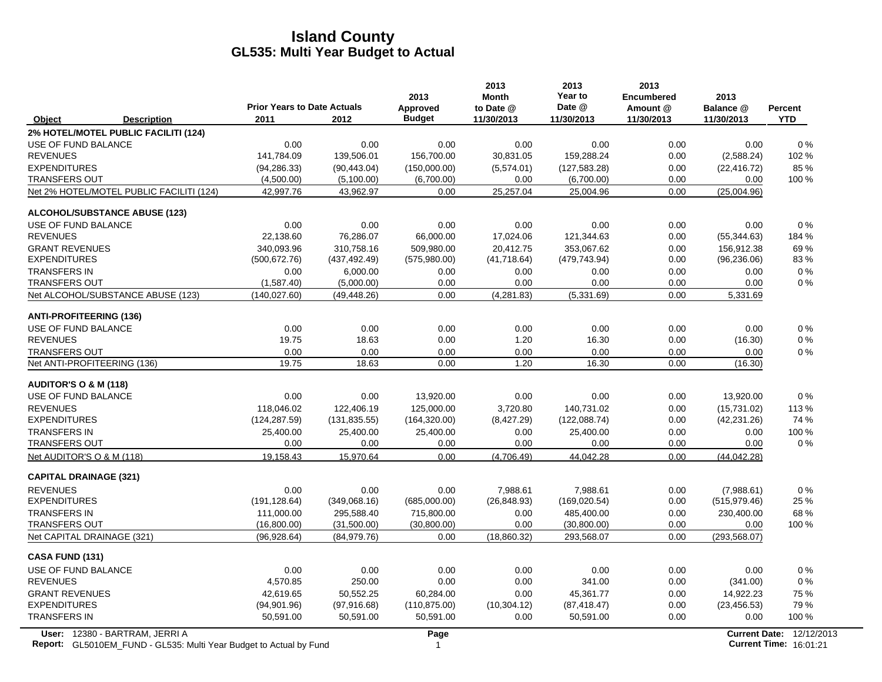|                                      |                                                                    | <b>Prior Years to Date Actuals</b> |               | 2013<br><b>Approved</b> | 2013<br><b>Month</b><br>to Date @ | 2013<br>Year to<br>Date @ | 2013<br><b>Encumbered</b><br>Amount @ | 2013<br>Balance @ | <b>Percent</b>                                            |
|--------------------------------------|--------------------------------------------------------------------|------------------------------------|---------------|-------------------------|-----------------------------------|---------------------------|---------------------------------------|-------------------|-----------------------------------------------------------|
| Object                               | <b>Description</b>                                                 | 2011                               | 2012          | <b>Budget</b>           | 11/30/2013                        | 11/30/2013                | 11/30/2013                            | 11/30/2013        | <b>YTD</b>                                                |
| 2% HOTEL/MOTEL PUBLIC FACILITI (124) |                                                                    |                                    |               |                         |                                   |                           |                                       |                   |                                                           |
| USE OF FUND BALANCE                  |                                                                    | 0.00                               | 0.00          | 0.00                    | 0.00                              | 0.00                      | 0.00                                  | 0.00              | $0\%$                                                     |
| <b>REVENUES</b>                      |                                                                    | 141,784.09                         | 139,506.01    | 156,700.00              | 30,831.05                         | 159,288.24                | 0.00                                  | (2,588.24)        | 102 %                                                     |
| <b>EXPENDITURES</b>                  |                                                                    | (94, 286.33)                       | (90, 443.04)  | (150,000.00)            | (5,574.01)                        | (127, 583.28)             | 0.00                                  | (22, 416.72)      | 85%                                                       |
| <b>TRANSFERS OUT</b>                 |                                                                    | (4,500.00)                         | (5,100.00)    | (6,700.00)              | 0.00                              | (6,700.00)                | 0.00                                  | 0.00              | 100 %                                                     |
|                                      | Net 2% HOTEL/MOTEL PUBLIC FACILITI (124)                           | 42,997.76                          | 43,962.97     | 0.00                    | 25,257.04                         | 25,004.96                 | 0.00                                  | (25,004.96)       |                                                           |
| ALCOHOL/SUBSTANCE ABUSE (123)        |                                                                    |                                    |               |                         |                                   |                           |                                       |                   |                                                           |
| USE OF FUND BALANCE                  |                                                                    | 0.00                               | 0.00          | 0.00                    | 0.00                              | 0.00                      | 0.00                                  | 0.00              | 0%                                                        |
| <b>REVENUES</b>                      |                                                                    | 22,138.60                          | 76,286.07     | 66,000.00               | 17,024.06                         | 121,344.63                | 0.00                                  | (55, 344.63)      | 184 %                                                     |
| <b>GRANT REVENUES</b>                |                                                                    | 340.093.96                         | 310.758.16    | 509.980.00              | 20.412.75                         | 353.067.62                | 0.00                                  | 156.912.38        | 69%                                                       |
| <b>EXPENDITURES</b>                  |                                                                    | (500, 672.76)                      | (437, 492.49) | (575,980.00)            | (41,718.64)                       | (479, 743.94)             | 0.00                                  | (96, 236.06)      | 83%                                                       |
| <b>TRANSFERS IN</b>                  |                                                                    | 0.00                               | 6,000.00      | 0.00                    | 0.00                              | 0.00                      | 0.00                                  | 0.00              | $0\%$                                                     |
| <b>TRANSFERS OUT</b>                 |                                                                    | (1,587.40)                         | (5,000.00)    | 0.00                    | 0.00                              | 0.00                      | 0.00                                  | 0.00              | $0\%$                                                     |
| Net ALCOHOL/SUBSTANCE ABUSE (123)    |                                                                    | (140.027.60)                       | (49, 448.26)  | 0.00                    | (4, 281.83)                       | (5,331.69)                | 0.00                                  | 5,331.69          |                                                           |
| <b>ANTI-PROFITEERING (136)</b>       |                                                                    |                                    |               |                         |                                   |                           |                                       |                   |                                                           |
| USE OF FUND BALANCE                  |                                                                    | 0.00                               | 0.00          | 0.00                    | 0.00                              | 0.00                      | 0.00                                  | 0.00              | 0%                                                        |
| <b>REVENUES</b>                      |                                                                    | 19.75                              | 18.63         | 0.00                    | 1.20                              | 16.30                     | 0.00                                  | (16.30)           | $0\%$                                                     |
| <b>TRANSFERS OUT</b>                 |                                                                    | 0.00                               | 0.00          | 0.00                    | 0.00                              | 0.00                      | 0.00                                  | 0.00              | $0\%$                                                     |
| Net ANTI-PROFITEERING (136)          |                                                                    | 19.75                              | 18.63         | 0.00                    | 1.20                              | 16.30                     | 0.00                                  | (16.30)           |                                                           |
| <b>AUDITOR'S O &amp; M (118)</b>     |                                                                    |                                    |               |                         |                                   |                           |                                       |                   |                                                           |
| USE OF FUND BALANCE                  |                                                                    | 0.00                               | 0.00          | 13,920.00               | 0.00                              | 0.00                      | 0.00                                  | 13,920.00         | 0%                                                        |
| <b>REVENUES</b>                      |                                                                    | 118,046.02                         | 122,406.19    | 125,000.00              | 3,720.80                          | 140,731.02                | 0.00                                  | (15,731.02)       | 113%                                                      |
| <b>EXPENDITURES</b>                  |                                                                    | (124, 287.59)                      | (131, 835.55) | (164, 320.00)           | (8,427.29)                        | (122, 088.74)             | 0.00                                  | (42, 231.26)      | 74 %                                                      |
| <b>TRANSFERS IN</b>                  |                                                                    | 25,400.00                          | 25,400.00     | 25,400.00               | 0.00                              | 25,400.00                 | 0.00                                  | 0.00              | 100 %                                                     |
| <b>TRANSFERS OUT</b>                 |                                                                    | 0.00                               | 0.00          | 0.00                    | 0.00                              | 0.00                      | 0.00                                  | 0.00              | $0\%$                                                     |
| Net AUDITOR'S O & M (118)            |                                                                    | 19,158.43                          | 15,970.64     | 0.00                    | (4,706.49)                        | 44.042.28                 | 0.00                                  | (44, 042.28)      |                                                           |
| <b>CAPITAL DRAINAGE (321)</b>        |                                                                    |                                    |               |                         |                                   |                           |                                       |                   |                                                           |
| <b>REVENUES</b>                      |                                                                    | 0.00                               | 0.00          | 0.00                    | 7,988.61                          | 7,988.61                  | 0.00                                  | (7,988.61)        | 0%                                                        |
| <b>EXPENDITURES</b>                  |                                                                    | (191, 128.64)                      | (349,068.16)  | (685,000.00)            | (26, 848.93)                      | (169, 020.54)             | 0.00                                  | (515, 979.46)     | 25 %                                                      |
| <b>TRANSFERS IN</b>                  |                                                                    | 111,000.00                         | 295,588.40    | 715,800.00              | 0.00                              | 485,400.00                | 0.00                                  | 230,400.00        | 68 %                                                      |
| <b>TRANSFERS OUT</b>                 |                                                                    | (16,800.00)                        | (31,500.00)   | (30,800.00)             | 0.00                              | (30,800.00)               | 0.00                                  | 0.00              | 100 %                                                     |
| Net CAPITAL DRAINAGE (321)           |                                                                    | (96, 928.64)                       | (84,979.76)   | 0.00                    | (18,860.32)                       | 293,568.07                | 0.00                                  | (293, 568.07)     |                                                           |
| CASA FUND (131)                      |                                                                    |                                    |               |                         |                                   |                           |                                       |                   |                                                           |
| USE OF FUND BALANCE                  |                                                                    | 0.00                               | 0.00          | 0.00                    | 0.00                              | 0.00                      | 0.00                                  | 0.00              | 0%                                                        |
| <b>REVENUES</b>                      |                                                                    | 4,570.85                           | 250.00        | 0.00                    | 0.00                              | 341.00                    | 0.00                                  | (341.00)          | 0%                                                        |
| <b>GRANT REVENUES</b>                |                                                                    | 42,619.65                          | 50,552.25     | 60,284.00               | 0.00                              | 45,361.77                 | 0.00                                  | 14,922.23         | 75 %                                                      |
| <b>EXPENDITURES</b>                  |                                                                    | (94,901.96)                        | (97, 916.68)  | (110, 875.00)           | (10, 304.12)                      | (87, 418.47)              | 0.00                                  | (23, 456.53)      | 79 %                                                      |
| <b>TRANSFERS IN</b>                  |                                                                    | 50,591.00                          | 50,591.00     | 50,591.00               | 0.00                              | 50,591.00                 | 0.00                                  | 0.00              | 100 %                                                     |
| User: 12380 - BARTRAM, JERRI A       | Report: GL5010EM FUND - GL535: Multi Year Budget to Actual by Fund |                                    |               | Page<br>$\mathbf{1}$    |                                   |                           |                                       |                   | Current Date: 12/12/2013<br><b>Current Time: 16:01:21</b> |

**Report:** 1 **Current Time:** GL5010EM\_FUND - GL535: Multi Year Budget to Actual by Fund 16:01:21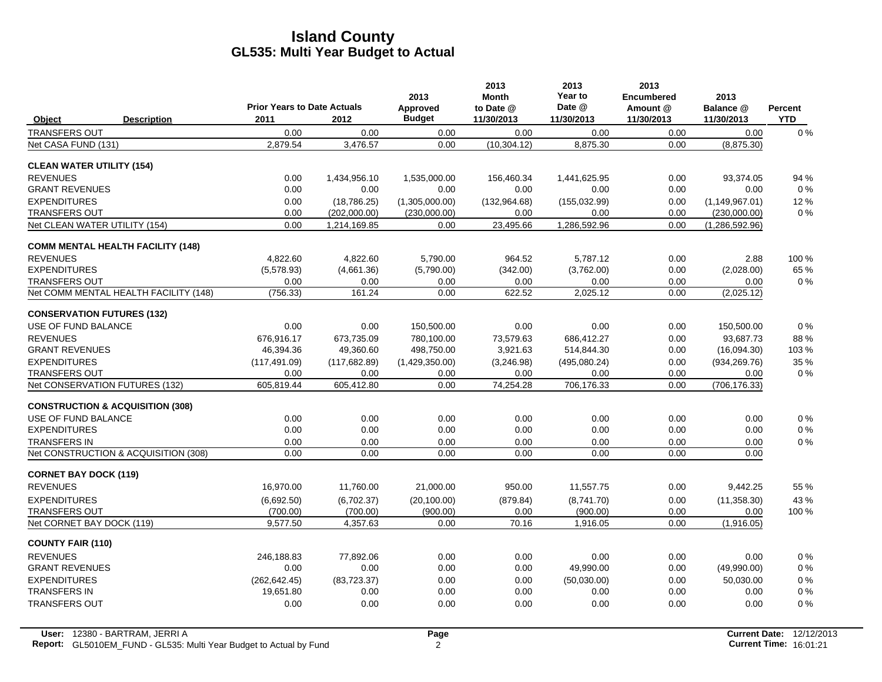|                                             |                    | <b>Prior Years to Date Actuals</b> |               | 2013<br>Approved | 2013<br><b>Month</b><br>to Date @ | 2013<br>Year to<br>Date @ | 2013<br><b>Encumbered</b><br>Amount @ | 2013<br>Balance @ | Percent    |
|---------------------------------------------|--------------------|------------------------------------|---------------|------------------|-----------------------------------|---------------------------|---------------------------------------|-------------------|------------|
| Object                                      | <b>Description</b> | 2011                               | 2012          | <b>Budget</b>    | 11/30/2013                        | 11/30/2013                | 11/30/2013                            | 11/30/2013        | <b>YTD</b> |
| <b>TRANSFERS OUT</b>                        |                    | 0.00                               | 0.00          | 0.00             | 0.00                              | 0.00                      | 0.00                                  | 0.00              | $0\%$      |
| Net CASA FUND (131)                         |                    | 2,879.54                           | 3,476.57      | 0.00             | (10, 304.12)                      | 8,875.30                  | 0.00                                  | (8,875.30)        |            |
| <b>CLEAN WATER UTILITY (154)</b>            |                    |                                    |               |                  |                                   |                           |                                       |                   |            |
| <b>REVENUES</b>                             |                    | 0.00                               | 1,434,956.10  | 1,535,000.00     | 156,460.34                        | 1,441,625.95              | 0.00                                  | 93,374.05         | 94 %       |
| <b>GRANT REVENUES</b>                       |                    | 0.00                               | 0.00          | 0.00             | 0.00                              | 0.00                      | 0.00                                  | 0.00              | $0\%$      |
| <b>EXPENDITURES</b>                         |                    | 0.00                               | (18, 786.25)  | (1,305,000.00)   | (132,964.68)                      | (155, 032.99)             | 0.00                                  | (1, 149, 967.01)  | 12%        |
| <b>TRANSFERS OUT</b>                        |                    | 0.00                               | (202,000.00)  | (230,000.00)     | 0.00                              | 0.00                      | 0.00                                  | (230,000.00)      | $0\%$      |
| Net CLEAN WATER UTILITY (154)               |                    | 0.00                               | 1,214,169.85  | 0.00             | 23,495.66                         | 1,286,592.96              | 0.00                                  | (1,286,592.96)    |            |
| <b>COMM MENTAL HEALTH FACILITY (148)</b>    |                    |                                    |               |                  |                                   |                           |                                       |                   |            |
| <b>REVENUES</b>                             |                    | 4.822.60                           | 4.822.60      | 5.790.00         | 964.52                            | 5.787.12                  | 0.00                                  | 2.88              | 100 %      |
| <b>EXPENDITURES</b>                         |                    | (5,578.93)                         | (4,661.36)    | (5,790.00)       | (342.00)                          | (3,762.00)                | 0.00                                  | (2,028.00)        | 65 %       |
| <b>TRANSFERS OUT</b>                        |                    | 0.00                               | 0.00          | 0.00             | 0.00                              | 0.00                      | 0.00                                  | 0.00              | $0\%$      |
| Net COMM MENTAL HEALTH FACILITY (148)       |                    | (756.33)                           | 161.24        | 0.00             | 622.52                            | 2,025.12                  | 0.00                                  | (2,025.12)        |            |
| <b>CONSERVATION FUTURES (132)</b>           |                    |                                    |               |                  |                                   |                           |                                       |                   |            |
| USE OF FUND BALANCE                         |                    | 0.00                               | 0.00          | 150,500.00       | 0.00                              | 0.00                      | 0.00                                  | 150,500.00        | $0\%$      |
| <b>REVENUES</b>                             |                    | 676.916.17                         | 673,735.09    | 780,100.00       | 73,579.63                         | 686,412.27                | 0.00                                  | 93,687.73         | 88%        |
| <b>GRANT REVENUES</b>                       |                    | 46,394.36                          | 49,360.60     | 498,750.00       | 3,921.63                          | 514,844.30                | 0.00                                  | (16,094.30)       | 103 %      |
| <b>EXPENDITURES</b>                         |                    | (117, 491.09)                      | (117, 682.89) | (1,429,350.00)   | (3,246.98)                        | (495,080.24)              | 0.00                                  | (934, 269.76)     | 35 %       |
| <b>TRANSFERS OUT</b>                        |                    | 0.00                               | 0.00          | 0.00             | 0.00                              | 0.00                      | 0.00                                  | 0.00              | $0\%$      |
| Net CONSERVATION FUTURES (132)              |                    | 605,819.44                         | 605,412.80    | 0.00             | 74,254.28                         | 706,176.33                | 0.00                                  | (706, 176.33)     |            |
| <b>CONSTRUCTION &amp; ACQUISITION (308)</b> |                    |                                    |               |                  |                                   |                           |                                       |                   |            |
| USE OF FUND BALANCE                         |                    | 0.00                               | 0.00          | 0.00             | 0.00                              | 0.00                      | 0.00                                  | 0.00              | $0\%$      |
| <b>EXPENDITURES</b>                         |                    | 0.00                               | 0.00          | 0.00             | 0.00                              | 0.00                      | 0.00                                  | 0.00              | $0\%$      |
| <b>TRANSFERS IN</b>                         |                    | 0.00                               | 0.00          | 0.00             | 0.00                              | 0.00                      | 0.00                                  | 0.00              | $0\%$      |
| Net CONSTRUCTION & ACQUISITION (308)        |                    | 0.00                               | 0.00          | 0.00             | 0.00                              | 0.00                      | 0.00                                  | 0.00              |            |
| <b>CORNET BAY DOCK (119)</b>                |                    |                                    |               |                  |                                   |                           |                                       |                   |            |
| <b>REVENUES</b>                             |                    | 16,970.00                          | 11,760.00     | 21,000.00        | 950.00                            | 11,557.75                 | 0.00                                  | 9,442.25          | 55 %       |
| <b>EXPENDITURES</b>                         |                    | (6,692.50)                         | (6,702.37)    | (20, 100.00)     | (879.84)                          | (8,741.70)                | 0.00                                  | (11, 358.30)      | 43 %       |
| <b>TRANSFERS OUT</b>                        |                    | (700.00)                           | (700.00)      | (900.00)         | 0.00                              | (900.00)                  | 0.00                                  | 0.00              | 100 %      |
| Net CORNET BAY DOCK (119)                   |                    | 9,577.50                           | 4,357.63      | 0.00             | 70.16                             | 1,916.05                  | 0.00                                  | (1,916.05)        |            |
| <b>COUNTY FAIR (110)</b>                    |                    |                                    |               |                  |                                   |                           |                                       |                   |            |
| <b>REVENUES</b>                             |                    | 246.188.83                         | 77.892.06     | 0.00             | 0.00                              | 0.00                      | 0.00                                  | 0.00              | $0\%$      |
| <b>GRANT REVENUES</b>                       |                    | 0.00                               | 0.00          | 0.00             | 0.00                              | 49.990.00                 | 0.00                                  | (49,990.00)       | $0\%$      |
| <b>EXPENDITURES</b>                         |                    | (262, 642.45)                      | (83, 723.37)  | 0.00             | 0.00                              | (50,030.00)               | 0.00                                  | 50,030.00         | $0\%$      |
| <b>TRANSFERS IN</b>                         |                    | 19,651.80                          | 0.00          | 0.00             | 0.00                              | 0.00                      | 0.00                                  | 0.00              | $0\%$      |
| <b>TRANSFERS OUT</b>                        |                    | 0.00                               | 0.00          | 0.00             | 0.00                              | 0.00                      | 0.00                                  | 0.00              | $0\%$      |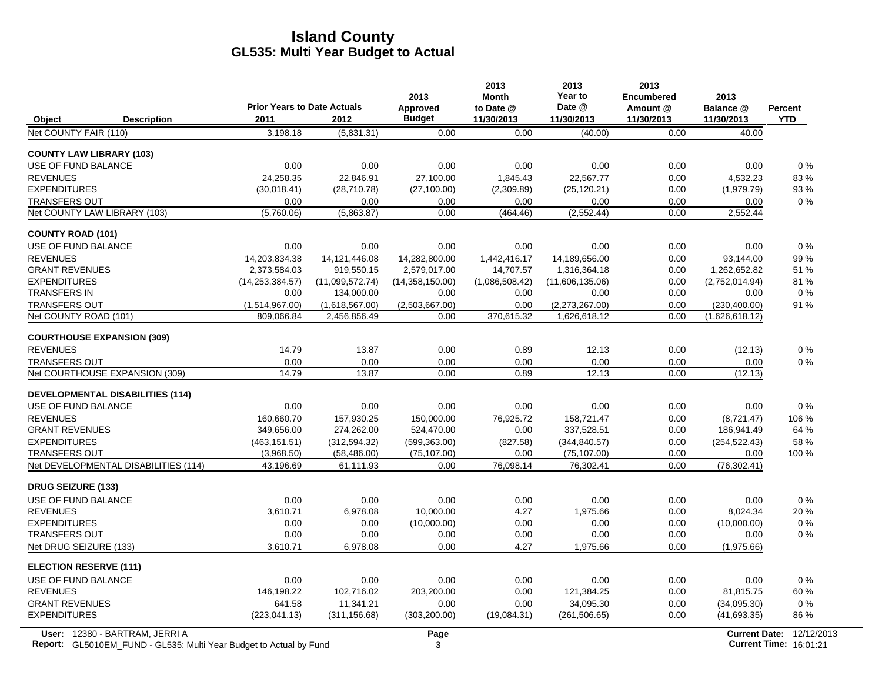|                                         |                    |                                    |                 | 2013            | 2013<br><b>Month</b> | 2013<br>Year to | 2013<br><b>Encumbered</b> | 2013           |            |
|-----------------------------------------|--------------------|------------------------------------|-----------------|-----------------|----------------------|-----------------|---------------------------|----------------|------------|
|                                         |                    | <b>Prior Years to Date Actuals</b> |                 | Approved        | to Date @            | Date @          | Amount @                  | Balance @      | Percent    |
| Object                                  | <b>Description</b> | 2011                               | 2012            | <b>Budget</b>   | 11/30/2013           | 11/30/2013      | 11/30/2013                | 11/30/2013     | <b>YTD</b> |
| Net COUNTY FAIR (110)                   |                    | 3,198.18                           | (5,831.31)      | 0.00            | 0.00                 | (40.00)         | 0.00                      | 40.00          |            |
| <b>COUNTY LAW LIBRARY (103)</b>         |                    |                                    |                 |                 |                      |                 |                           |                |            |
| USE OF FUND BALANCE                     |                    | 0.00                               | 0.00            | 0.00            | 0.00                 | 0.00            | 0.00                      | 0.00           | $0\%$      |
| <b>REVENUES</b>                         |                    | 24.258.35                          | 22.846.91       | 27.100.00       | 1,845.43             | 22.567.77       | 0.00                      | 4,532.23       | 83%        |
| <b>EXPENDITURES</b>                     |                    | (30,018.41)                        | (28,710.78)     | (27, 100.00)    | (2,309.89)           | (25, 120.21)    | 0.00                      | (1,979.79)     | 93%        |
| <b>TRANSFERS OUT</b>                    |                    | 0.00                               | 0.00            | 0.00            | 0.00                 | 0.00            | 0.00                      | 0.00           | $0\%$      |
| Net COUNTY LAW LIBRARY (103)            |                    | (5,760.06)                         | (5,863.87)      | 0.00            | (464.46)             | (2, 552.44)     | 0.00                      | 2,552.44       |            |
| <b>COUNTY ROAD (101)</b>                |                    |                                    |                 |                 |                      |                 |                           |                |            |
| <b>USE OF FUND BALANCE</b>              |                    | 0.00                               | 0.00            | 0.00            | 0.00                 | 0.00            | 0.00                      | 0.00           | 0%         |
| <b>REVENUES</b>                         |                    | 14.203.834.38                      | 14.121.446.08   | 14.282.800.00   | 1.442.416.17         | 14.189.656.00   | 0.00                      | 93,144.00      | 99%        |
| <b>GRANT REVENUES</b>                   |                    | 2,373,584.03                       | 919,550.15      | 2,579,017.00    | 14,707.57            | 1,316,364.18    | 0.00                      | 1,262,652.82   | 51 %       |
| <b>EXPENDITURES</b>                     |                    | (14, 253, 384.57)                  | (11,099,572.74) | (14,358,150.00) | (1,086,508.42)       | (11,606,135.06) | 0.00                      | (2,752,014.94) | 81%        |
| <b>TRANSFERS IN</b>                     |                    | 0.00                               | 134,000.00      | 0.00            | 0.00                 | 0.00            | 0.00                      | 0.00           | $0\%$      |
| <b>TRANSFERS OUT</b>                    |                    | (1,514,967.00)                     | (1,618,567.00)  | (2,503,667.00)  | 0.00                 | (2,273,267.00)  | 0.00                      | (230, 400.00)  | 91%        |
| Net COUNTY ROAD (101)                   |                    | 809,066.84                         | 2,456,856.49    | 0.00            | 370,615.32           | 1,626,618.12    | 0.00                      | (1,626,618.12) |            |
| <b>COURTHOUSE EXPANSION (309)</b>       |                    |                                    |                 |                 |                      |                 |                           |                |            |
| <b>REVENUES</b>                         |                    | 14.79                              | 13.87           | 0.00            | 0.89                 | 12.13           | 0.00                      | (12.13)        | 0%         |
| <b>TRANSFERS OUT</b>                    |                    | 0.00                               | 0.00            | 0.00            | 0.00                 | 0.00            | 0.00                      | 0.00           | 0%         |
| Net COURTHOUSE EXPANSION (309)          |                    | 14.79                              | 13.87           | 0.00            | 0.89                 | 12.13           | 0.00                      | (12.13)        |            |
| <b>DEVELOPMENTAL DISABILITIES (114)</b> |                    |                                    |                 |                 |                      |                 |                           |                |            |
| <b>USE OF FUND BALANCE</b>              |                    | 0.00                               | 0.00            | 0.00            | 0.00                 | 0.00            | 0.00                      | 0.00           | 0%         |
| <b>REVENUES</b>                         |                    | 160,660.70                         | 157,930.25      | 150,000.00      | 76,925.72            | 158,721.47      | 0.00                      | (8,721.47)     | 106 %      |
| <b>GRANT REVENUES</b>                   |                    | 349,656.00                         | 274,262.00      | 524,470.00      | 0.00                 | 337,528.51      | 0.00                      | 186,941.49     | 64 %       |
| <b>EXPENDITURES</b>                     |                    | (463, 151.51)                      | (312, 594.32)   | (599, 363.00)   | (827.58)             | (344, 840.57)   | 0.00                      | (254, 522.43)  | 58%        |
| <b>TRANSFERS OUT</b>                    |                    | (3,968.50)                         | (58, 486.00)    | (75, 107.00)    | 0.00                 | (75, 107.00)    | 0.00                      | 0.00           | 100 %      |
| Net DEVELOPMENTAL DISABILITIES (114)    |                    | 43,196.69                          | 61,111.93       | 0.00            | 76,098.14            | 76,302.41       | 0.00                      | (76, 302.41)   |            |
| <b>DRUG SEIZURE (133)</b>               |                    |                                    |                 |                 |                      |                 |                           |                |            |
| <b>USE OF FUND BALANCE</b>              |                    | 0.00                               | 0.00            | 0.00            | 0.00                 | 0.00            | 0.00                      | 0.00           | 0%         |
| <b>REVENUES</b>                         |                    | 3,610.71                           | 6,978.08        | 10,000.00       | 4.27                 | 1,975.66        | 0.00                      | 8,024.34       | 20%        |
| <b>EXPENDITURES</b>                     |                    | 0.00                               | 0.00            | (10,000.00)     | 0.00                 | 0.00            | 0.00                      | (10,000.00)    | $0\%$      |
| <b>TRANSFERS OUT</b>                    |                    | 0.00                               | 0.00            | 0.00            | 0.00                 | 0.00            | 0.00                      | 0.00           | 0%         |
| Net DRUG SEIZURE (133)                  |                    | 3,610.71                           | 6,978.08        | 0.00            | 4.27                 | 1,975.66        | 0.00                      | (1,975.66)     |            |
| <b>ELECTION RESERVE (111)</b>           |                    |                                    |                 |                 |                      |                 |                           |                |            |
| USE OF FUND BALANCE                     |                    | 0.00                               | 0.00            | 0.00            | 0.00                 | 0.00            | 0.00                      | 0.00           | $0\%$      |
| <b>REVENUES</b>                         |                    | 146,198.22                         | 102,716.02      | 203,200.00      | 0.00                 | 121,384.25      | 0.00                      | 81,815.75      | 60%        |
| <b>GRANT REVENUES</b>                   |                    | 641.58                             | 11.341.21       | 0.00            | 0.00                 | 34.095.30       | 0.00                      | (34,095.30)    | 0%         |
| <b>EXPENDITURES</b>                     |                    | (223, 041.13)                      | (311, 156.68)   | (303, 200.00)   | (19,084.31)          | (261, 506.65)   | 0.00                      | (41,693.35)    | 86 %       |
|                                         |                    |                                    |                 |                 |                      |                 |                           |                |            |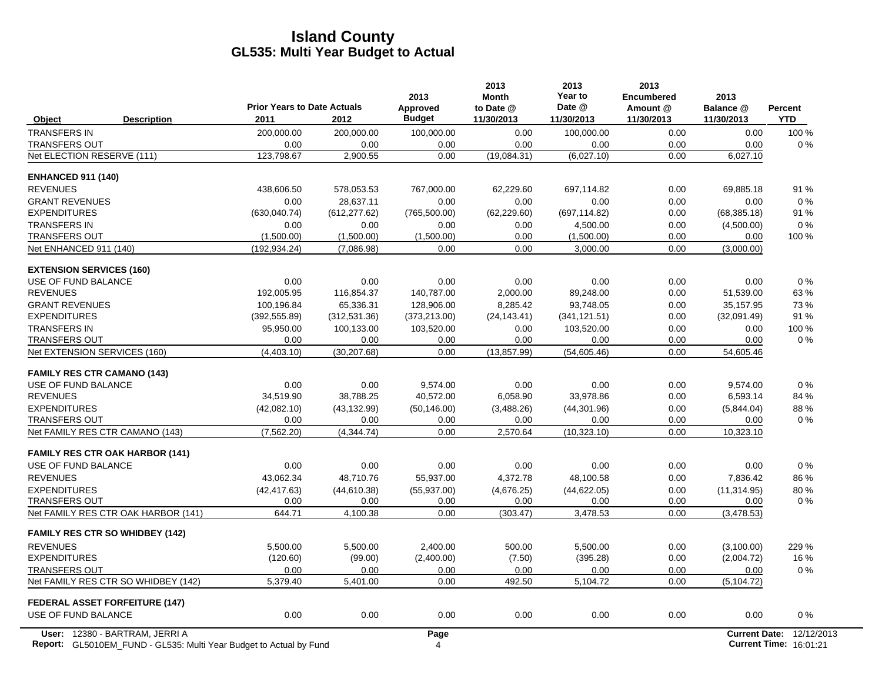|                                                             | <b>Prior Years to Date Actuals</b> |                  | 2013<br>Approved | 2013<br><b>Month</b><br>to Date @ | 2013<br>Year to<br>Date @ | 2013<br><b>Encumbered</b><br>Amount @ | 2013<br>Balance @    | Percent    |
|-------------------------------------------------------------|------------------------------------|------------------|------------------|-----------------------------------|---------------------------|---------------------------------------|----------------------|------------|
| Object<br><b>Description</b>                                | 2011                               | 2012             | <b>Budget</b>    | 11/30/2013                        | 11/30/2013                | 11/30/2013                            | 11/30/2013           | <b>YTD</b> |
| <b>TRANSFERS IN</b>                                         | 200,000.00                         | 200,000.00       | 100,000.00       | 0.00                              | 100,000.00                | 0.00                                  | 0.00                 | 100 %      |
| <b>TRANSFERS OUT</b>                                        | 0.00                               | 0.00             | 0.00             | 0.00                              | 0.00                      | 0.00                                  | 0.00                 | 0%         |
| Net ELECTION RESERVE (111)                                  | 123,798.67                         | 2,900.55         | 0.00             | (19,084.31)                       | (6,027.10)                | 0.00                                  | 6,027.10             |            |
| <b>ENHANCED 911 (140)</b>                                   |                                    |                  |                  |                                   |                           |                                       |                      |            |
| <b>REVENUES</b>                                             | 438,606.50                         | 578,053.53       | 767,000.00       | 62,229.60                         | 697,114.82                | 0.00                                  | 69,885.18            | 91 %       |
| <b>GRANT REVENUES</b>                                       | 0.00                               | 28.637.11        | 0.00             | 0.00                              | 0.00                      | 0.00                                  | 0.00                 | $0\%$      |
| <b>EXPENDITURES</b>                                         | (630, 040.74)                      | (612, 277.62)    | (765, 500.00)    | (62, 229.60)                      | (697, 114.82)             | 0.00                                  | (68, 385.18)         | 91 %       |
| <b>TRANSFERS IN</b>                                         | 0.00                               | 0.00             | 0.00             | 0.00                              | 4,500.00                  | 0.00                                  | (4,500.00)           | 0%         |
| <b>TRANSFERS OUT</b>                                        | (1,500.00)                         | (1,500.00)       | (1,500.00)       | 0.00                              | (1,500.00)                | 0.00                                  | 0.00                 | 100 %      |
| Net ENHANCED 911 (140)                                      | (192, 934.24)                      | (7,086.98)       | 0.00             | 0.00                              | 3,000.00                  | 0.00                                  | (3,000.00)           |            |
| <b>EXTENSION SERVICES (160)</b>                             |                                    |                  |                  |                                   |                           |                                       |                      |            |
| USE OF FUND BALANCE                                         | 0.00                               | 0.00             | 0.00             | 0.00                              | 0.00                      | 0.00                                  | 0.00                 | 0%         |
| <b>REVENUES</b>                                             | 192,005.95                         | 116,854.37       | 140,787.00       | 2,000.00                          | 89,248.00                 | 0.00                                  | 51,539.00            | 63%        |
| <b>GRANT REVENUES</b>                                       | 100.196.84                         | 65.336.31        | 128.906.00       | 8.285.42                          | 93.748.05                 | 0.00                                  | 35.157.95            | 73%        |
| <b>EXPENDITURES</b>                                         | (392, 555.89)                      | (312, 531.36)    | (373, 213.00)    | (24, 143.41)                      | (341, 121.51)             | 0.00                                  | (32,091.49)          | 91 %       |
| <b>TRANSFERS IN</b>                                         | 95,950.00                          | 100,133.00       | 103,520.00       | 0.00                              | 103,520.00                | 0.00                                  | 0.00                 | 100 %      |
| <b>TRANSFERS OUT</b>                                        | 0.00                               | 0.00             | 0.00<br>0.00     | 0.00                              | 0.00                      | 0.00<br>0.00                          | 0.00                 | $0\%$      |
| Net EXTENSION SERVICES (160)                                | (4,403.10)                         | (30, 207.68)     |                  | (13, 857.99)                      | (54,605.46)               |                                       | 54,605.46            |            |
| <b>FAMILY RES CTR CAMANO (143)</b>                          |                                    |                  |                  |                                   |                           |                                       |                      |            |
| USE OF FUND BALANCE                                         | 0.00                               | 0.00             | 9,574.00         | 0.00                              | 0.00                      | 0.00                                  | 9,574.00             | 0%         |
| <b>REVENUES</b>                                             | 34,519.90                          | 38,788.25        | 40,572.00        | 6,058.90                          | 33,978.86                 | 0.00                                  | 6,593.14             | 84 %       |
| <b>EXPENDITURES</b>                                         | (42,082,10)                        | (43, 132.99)     | (50, 146.00)     | (3,488.26)                        | (44, 301.96)              | 0.00                                  | (5,844.04)           | 88%        |
| <b>TRANSFERS OUT</b>                                        | 0.00                               | 0.00             | 0.00             | 0.00                              | 0.00                      | 0.00                                  | 0.00                 | 0%         |
| Net FAMILY RES CTR CAMANO (143)                             | (7,562.20)                         | (4,344.74)       | 0.00             | 2,570.64                          | (10, 323.10)              | 0.00                                  | 10,323.10            |            |
| <b>FAMILY RES CTR OAK HARBOR (141)</b>                      |                                    |                  |                  |                                   |                           |                                       |                      |            |
| USE OF FUND BALANCE                                         | 0.00                               | 0.00             | 0.00             | 0.00                              | 0.00                      | 0.00                                  | 0.00                 | 0%         |
| <b>REVENUES</b>                                             | 43,062.34                          | 48,710.76        | 55,937.00        | 4,372.78                          | 48,100.58                 | 0.00                                  | 7,836.42             | 86 %       |
| <b>EXPENDITURES</b>                                         | (42, 417.63)                       | (44, 610.38)     | (55, 937.00)     | (4,676.25)                        | (44, 622.05)              | 0.00                                  | (11, 314.95)         | 80%        |
| <b>TRANSFERS OUT</b><br>Net FAMILY RES CTR OAK HARBOR (141) | 0.00<br>644.71                     | 0.00<br>4,100.38 | 0.00<br>0.00     | 0.00<br>(303.47)                  | 0.00<br>3,478.53          | 0.00<br>0.00                          | 0.00<br>(3,478.53)   | $0\%$      |
|                                                             |                                    |                  |                  |                                   |                           |                                       |                      |            |
| <b>FAMILY RES CTR SO WHIDBEY (142)</b>                      |                                    |                  |                  |                                   |                           |                                       |                      |            |
| <b>REVENUES</b>                                             | 5.500.00                           | 5.500.00         | 2.400.00         | 500.00                            | 5.500.00                  | 0.00                                  | (3,100.00)           | 229 %      |
| <b>EXPENDITURES</b>                                         | (120.60)                           | (99.00)          | (2,400.00)       | (7.50)                            | (395.28)                  | 0.00                                  | (2,004.72)           | 16 %       |
| <b>TRANSFERS OUT</b><br>Net FAMILY RES CTR SO WHIDBEY (142) | 0.00<br>5,379.40                   | 0.00<br>5,401.00 | 0.00<br>0.00     | 0.00<br>492.50                    | 0.00<br>5,104.72          | 0.00<br>0.00                          | 0.00                 | 0%         |
|                                                             |                                    |                  |                  |                                   |                           |                                       | (5, 104.72)          |            |
| <b>FEDERAL ASSET FORFEITURE (147)</b>                       |                                    |                  |                  |                                   |                           |                                       |                      |            |
| USE OF FUND BALANCE                                         | 0.00                               | 0.00             | 0.00             | 0.00                              | 0.00                      | 0.00                                  | 0.00                 | 0%         |
| User: 12380 - BARTRAM, JERRI A                              |                                    |                  | Page             |                                   |                           |                                       | <b>Current Date:</b> | 12/12/2013 |

**Report:** 4 **Current Time:** GL5010EM\_FUND - GL535: Multi Year Budget to Actual by Fund 16:01:21 No. 21 No. 21:21:21 No. 21:21:21 No. 21:21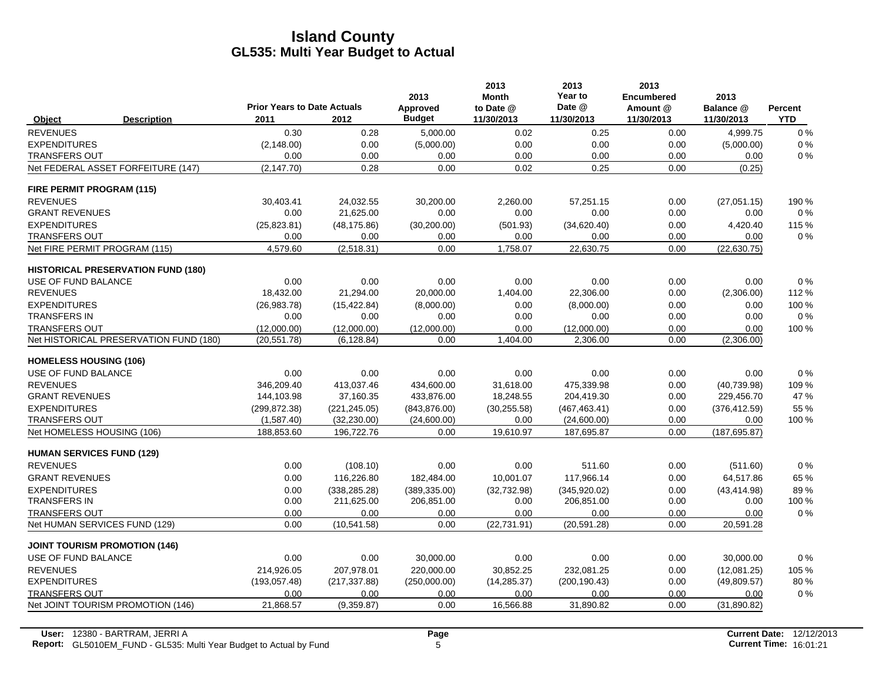|                                      |                                           | <b>Prior Years to Date Actuals</b> |               | 2013                      | 2013<br><b>Month</b>    | 2013<br>Year to<br>Date @ | 2013<br><b>Encumbered</b> | 2013                    |                              |
|--------------------------------------|-------------------------------------------|------------------------------------|---------------|---------------------------|-------------------------|---------------------------|---------------------------|-------------------------|------------------------------|
| Object                               | <b>Description</b>                        | 2011                               | 2012          | Approved<br><b>Budget</b> | to Date @<br>11/30/2013 | 11/30/2013                | Amount @<br>11/30/2013    | Balance @<br>11/30/2013 | <b>Percent</b><br><b>YTD</b> |
| <b>REVENUES</b>                      |                                           | 0.30                               | 0.28          | 5,000.00                  | 0.02                    | 0.25                      | 0.00                      | 4,999.75                | 0%                           |
| <b>EXPENDITURES</b>                  |                                           | (2, 148.00)                        | 0.00          | (5,000.00)                | 0.00                    | 0.00                      | 0.00                      | (5,000.00)              | 0%                           |
| <b>TRANSFERS OUT</b>                 |                                           | 0.00                               | 0.00          | 0.00                      | 0.00                    | 0.00                      | 0.00                      | 0.00                    | $0\%$                        |
|                                      | Net FEDERAL ASSET FORFEITURE (147)        | (2, 147.70)                        | 0.28          | 0.00                      | 0.02                    | 0.25                      | 0.00                      | (0.25)                  |                              |
| FIRE PERMIT PROGRAM (115)            |                                           |                                    |               |                           |                         |                           |                           |                         |                              |
| <b>REVENUES</b>                      |                                           | 30,403.41                          | 24,032.55     | 30.200.00                 | 2,260.00                | 57,251.15                 | 0.00                      | (27,051.15)             | 190 %                        |
| <b>GRANT REVENUES</b>                |                                           | 0.00                               | 21,625.00     | 0.00                      | 0.00                    | 0.00                      | 0.00                      | 0.00                    | $0\%$                        |
| <b>EXPENDITURES</b>                  |                                           | (25, 823.81)                       | (48, 175.86)  | (30,200.00)               | (501.93)                | (34,620.40)               | 0.00                      | 4,420.40                | 115 %                        |
| <b>TRANSFERS OUT</b>                 |                                           | 0.00                               | 0.00          | 0.00                      | 0.00                    | 0.00                      | 0.00                      | 0.00                    | 0%                           |
| Net FIRE PERMIT PROGRAM (115)        |                                           | 4,579.60                           | (2,518.31)    | 0.00                      | 1,758.07                | 22,630.75                 | 0.00                      | (22, 630.75)            |                              |
|                                      | <b>HISTORICAL PRESERVATION FUND (180)</b> |                                    |               |                           |                         |                           |                           |                         |                              |
| USE OF FUND BALANCE                  |                                           | 0.00                               | 0.00          | 0.00                      | 0.00                    | 0.00                      | 0.00                      | 0.00                    | 0%                           |
| <b>REVENUES</b>                      |                                           | 18,432.00                          | 21,294.00     | 20,000.00                 | 1,404.00                | 22,306.00                 | 0.00                      | (2,306.00)              | 112 %                        |
| <b>EXPENDITURES</b>                  |                                           | (26,983.78)                        | (15, 422.84)  | (8,000.00)                | 0.00                    | (8,000.00)                | 0.00                      | 0.00                    | 100 %                        |
| <b>TRANSFERS IN</b>                  |                                           | 0.00                               | 0.00          | 0.00                      | 0.00                    | 0.00                      | 0.00                      | 0.00                    | 0%                           |
| <b>TRANSFERS OUT</b>                 |                                           | (12,000.00)                        | (12,000.00)   | (12,000.00)               | 0.00                    | (12,000.00)               | 0.00                      | 0.00                    | 100 %                        |
|                                      | Net HISTORICAL PRESERVATION FUND (180)    | (20, 551.78)                       | (6, 128.84)   | 0.00                      | 1.404.00                | 2,306.00                  | 0.00                      | (2,306.00)              |                              |
| <b>HOMELESS HOUSING (106)</b>        |                                           |                                    |               |                           |                         |                           |                           |                         |                              |
| USE OF FUND BALANCE                  |                                           | 0.00                               | 0.00          | 0.00                      | 0.00                    | 0.00                      | 0.00                      | 0.00                    | 0%                           |
| <b>REVENUES</b>                      |                                           | 346.209.40                         | 413,037.46    | 434,600.00                | 31,618.00               | 475.339.98                | 0.00                      | (40, 739.98)            | 109 %                        |
| <b>GRANT REVENUES</b>                |                                           | 144,103.98                         | 37,160.35     | 433,876.00                | 18,248.55               | 204,419.30                | 0.00                      | 229,456.70              | 47 %                         |
| <b>EXPENDITURES</b>                  |                                           | (299.872.38)                       | (221, 245.05) | (843, 876.00)             | (30, 255.58)            | (467, 463.41)             | 0.00                      | (376, 412.59)           | 55 %                         |
| TRANSFERS OUT                        |                                           | (1,587.40)                         | (32, 230.00)  | (24,600.00)               | 0.00                    | (24,600.00)               | 0.00                      | 0.00                    | 100 %                        |
| Net HOMELESS HOUSING (106)           |                                           | 188,853.60                         | 196,722.76    | 0.00                      | 19,610.97               | 187,695.87                | 0.00                      | (187, 695.87)           |                              |
| <b>HUMAN SERVICES FUND (129)</b>     |                                           |                                    |               |                           |                         |                           |                           |                         |                              |
| <b>REVENUES</b>                      |                                           | 0.00                               | (108.10)      | 0.00                      | 0.00                    | 511.60                    | 0.00                      | (511.60)                | 0%                           |
| <b>GRANT REVENUES</b>                |                                           | 0.00                               | 116,226.80    | 182,484.00                | 10,001.07               | 117,966.14                | 0.00                      | 64,517.86               | 65 %                         |
| <b>EXPENDITURES</b>                  |                                           | 0.00                               | (338, 285.28) | (389, 335.00)             | (32, 732.98)            | (345,920.02)              | 0.00                      | (43, 414.98)            | 89%                          |
| <b>TRANSFERS IN</b>                  |                                           | 0.00                               | 211,625.00    | 206,851.00                | 0.00                    | 206,851.00                | 0.00                      | 0.00                    | 100 %                        |
| <b>TRANSFERS OUT</b>                 |                                           | 0.00                               | 0.00          | 0.00                      | 0.00                    | 0.00                      | 0.00                      | 0.00                    | 0%                           |
| Net HUMAN SERVICES FUND (129)        |                                           | 0.00                               | (10,541.58)   | 0.00                      | (22, 731.91)            | (20, 591.28)              | 0.00                      | 20,591.28               |                              |
| <b>JOINT TOURISM PROMOTION (146)</b> |                                           |                                    |               |                           |                         |                           |                           |                         |                              |
| USE OF FUND BALANCE                  |                                           | 0.00                               | 0.00          | 30,000.00                 | 0.00                    | 0.00                      | 0.00                      | 30,000.00               | 0%                           |
| <b>REVENUES</b>                      |                                           | 214,926.05                         | 207,978.01    | 220,000.00                | 30,852.25               | 232,081.25                | 0.00                      | (12,081.25)             | 105 %                        |
| <b>EXPENDITURES</b>                  |                                           | (193,057.48)                       | (217, 337.88) | (250,000.00)              | (14, 285.37)            | (200, 190.43)             | 0.00                      | (49,809.57)             | 80%                          |
| <b>TRANSFERS OUT</b>                 |                                           | 0.00                               | 0.00          | 0.00                      | 0.00                    | 0.00                      | 0.00                      | 0.00                    | 0%                           |
|                                      | Net JOINT TOURISM PROMOTION (146)         | 21,868.57                          | (9,359.87)    | 0.00                      | 16,566.88               | 31,890.82                 | 0.00                      | (31,890.82)             |                              |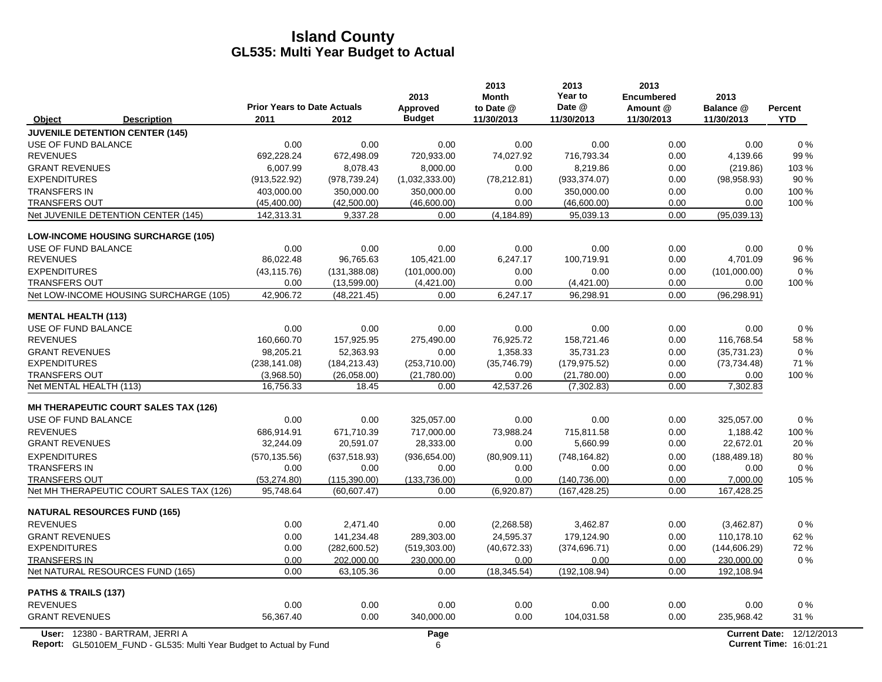|                                             | <b>Prior Years to Date Actuals</b> |               | 2013<br>Approved | 2013<br><b>Month</b><br>to Date @ | 2013<br>Year to<br>Date @ | 2013<br><b>Encumbered</b><br>Amount @ | 2013<br>Balance @    | Percent    |
|---------------------------------------------|------------------------------------|---------------|------------------|-----------------------------------|---------------------------|---------------------------------------|----------------------|------------|
| <b>Description</b><br>Object                | 2011                               | 2012          | <b>Budget</b>    | 11/30/2013                        | 11/30/2013                | 11/30/2013                            | 11/30/2013           | <b>YTD</b> |
| <b>JUVENILE DETENTION CENTER (145)</b>      |                                    |               |                  |                                   |                           |                                       |                      |            |
| USE OF FUND BALANCE                         | 0.00                               | 0.00          | 0.00             | 0.00                              | 0.00                      | 0.00                                  | 0.00                 | 0%         |
| <b>REVENUES</b>                             | 692,228.24                         | 672,498.09    | 720,933.00       | 74,027.92                         | 716,793.34                | 0.00                                  | 4,139.66             | 99 %       |
| <b>GRANT REVENUES</b>                       | 6,007.99                           | 8,078.43      | 8,000.00         | 0.00                              | 8,219.86                  | 0.00                                  | (219.86)             | 103%       |
| <b>EXPENDITURES</b>                         | (913, 522.92)                      | (978, 739.24) | (1,032,333.00)   | (78, 212.81)                      | (933, 374.07)             | 0.00                                  | (98,958.93)          | 90 %       |
| <b>TRANSFERS IN</b>                         | 403.000.00                         | 350,000.00    | 350.000.00       | 0.00                              | 350.000.00                | 0.00                                  | 0.00                 | 100 %      |
| <b>TRANSFERS OUT</b>                        | (45, 400.00)                       | (42,500.00)   | (46,600.00)      | 0.00                              | (46,600.00)               | 0.00                                  | 0.00                 | 100 %      |
| Net JUVENILE DETENTION CENTER (145)         | 142,313.31                         | 9,337.28      | 0.00             | (4, 184.89)                       | 95,039.13                 | 0.00                                  | (95,039.13)          |            |
| <b>LOW-INCOME HOUSING SURCHARGE (105)</b>   |                                    |               |                  |                                   |                           |                                       |                      |            |
| USE OF FUND BALANCE                         | 0.00                               | 0.00          | 0.00             | 0.00                              | 0.00                      | 0.00                                  | 0.00                 | 0%         |
| <b>REVENUES</b>                             | 86,022.48                          | 96,765.63     | 105,421.00       | 6,247.17                          | 100,719.91                | 0.00                                  | 4,701.09             | 96 %       |
| <b>EXPENDITURES</b>                         | (43, 115.76)                       | (131, 388.08) | (101,000.00)     | 0.00                              | 0.00                      | 0.00                                  | (101,000.00)         | 0%         |
| <b>TRANSFERS OUT</b>                        | 0.00                               | (13,599.00)   | (4,421.00)       | 0.00                              | (4,421.00)                | 0.00                                  | 0.00                 | 100 %      |
| Net LOW-INCOME HOUSING SURCHARGE (105)      | 42,906.72                          | (48, 221.45)  | 0.00             | 6,247.17                          | 96,298.91                 | 0.00                                  | (96, 298.91)         |            |
| <b>MENTAL HEALTH (113)</b>                  |                                    |               |                  |                                   |                           |                                       |                      |            |
| USE OF FUND BALANCE                         | 0.00                               | 0.00          | 0.00             | 0.00                              | 0.00                      | 0.00                                  | 0.00                 | $0\%$      |
| <b>REVENUES</b>                             | 160,660.70                         | 157,925.95    | 275,490.00       | 76,925.72                         | 158,721.46                | 0.00                                  | 116,768.54           | 58 %       |
| <b>GRANT REVENUES</b>                       | 98,205.21                          | 52,363.93     | 0.00             | 1,358.33                          | 35,731.23                 | 0.00                                  | (35, 731.23)         | 0%         |
| <b>EXPENDITURES</b>                         | (238, 141.08)                      | (184, 213.43) | (253, 710.00)    | (35,746.79)                       | (179, 975.52)             | 0.00                                  | (73, 734.48)         | 71 %       |
| <b>TRANSFERS OUT</b>                        | (3,968.50)                         | (26,058.00)   | (21,780.00)      | 0.00                              | (21,780.00)               | 0.00                                  | 0.00                 | 100 %      |
| Net MENTAL HEALTH (113)                     | 16.756.33                          | 18.45         | 0.00             | 42,537.26                         | (7, 302.83)               | 0.00                                  | 7,302.83             |            |
| <b>MH THERAPEUTIC COURT SALES TAX (126)</b> |                                    |               |                  |                                   |                           |                                       |                      |            |
| USE OF FUND BALANCE                         | 0.00                               | 0.00          | 325.057.00       | 0.00                              | 0.00                      | 0.00                                  | 325.057.00           | $0\%$      |
| <b>REVENUES</b>                             | 686,914.91                         | 671,710.39    | 717,000.00       | 73.988.24                         | 715,811.58                | 0.00                                  | 1.188.42             | 100 %      |
| <b>GRANT REVENUES</b>                       | 32,244.09                          | 20,591.07     | 28,333.00        | 0.00                              | 5,660.99                  | 0.00                                  | 22,672.01            | 20%        |
| <b>EXPENDITURES</b>                         | (570, 135.56)                      | (637, 518.93) | (936, 654.00)    | (80,909.11)                       | (748, 164.82)             | 0.00                                  | (188, 489.18)        | 80%        |
| <b>TRANSFERS IN</b>                         | 0.00                               | 0.00          | 0.00             | 0.00                              | 0.00                      | 0.00                                  | 0.00                 | $0\%$      |
| <b>TRANSFERS OUT</b>                        | (53, 274.80)                       | (115, 390.00) | (133.736.00)     | 0.00                              | (140, 736.00)             | 0.00                                  | 7,000.00             | 105 %      |
| Net MH THERAPEUTIC COURT SALES TAX (126)    | 95,748.64                          | (60, 607.47)  | 0.00             | (6,920.87)                        | (167, 428.25)             | 0.00                                  | 167,428.25           |            |
| <b>NATURAL RESOURCES FUND (165)</b>         |                                    |               |                  |                                   |                           |                                       |                      |            |
| <b>REVENUES</b>                             | 0.00                               | 2,471.40      | 0.00             | (2,268.58)                        | 3,462.87                  | 0.00                                  | (3,462.87)           | 0%         |
| <b>GRANT REVENUES</b>                       | 0.00                               | 141,234.48    | 289,303.00       | 24,595.37                         | 179,124.90                | 0.00                                  | 110,178.10           | 62 %       |
| <b>EXPENDITURES</b>                         | 0.00                               | (282,600.52)  | (519, 303.00)    | (40, 672.33)                      | (374, 696.71)             | 0.00                                  | (144, 606.29)        | 72 %       |
| <b>TRANSFERS IN</b>                         | 0.00<br>0.00                       | 202,000.00    | 230,000.00       | 0.00                              | 0.00                      | 0.00<br>0.00                          | 230,000.00           | $0\%$      |
| Net NATURAL RESOURCES FUND (165)            |                                    | 63,105.36     | 0.00             | (18, 345.54)                      | (192, 108.94)             |                                       | 192,108.94           |            |
| PATHS & TRAILS (137)                        |                                    |               |                  |                                   |                           |                                       |                      |            |
| <b>REVENUES</b>                             | 0.00                               | 0.00          | 0.00             | 0.00                              | 0.00                      | 0.00                                  | 0.00                 | 0%         |
| <b>GRANT REVENUES</b>                       | 56,367.40                          | 0.00          | 340,000.00       | 0.00                              | 104,031.58                | 0.00                                  | 235,968.42           | 31 %       |
| User: 12380 - BARTRAM, JERRI A              |                                    |               | Page             |                                   |                           |                                       | <b>Current Date:</b> | 12/12/2013 |

**Report:** 6 **Current Time:** GL5010EM\_FUND - GL535: Multi Year Budget to Actual by Fund 16:01:21 16:01:21 16:01:21 16:01:21 16:01:21 16:01:21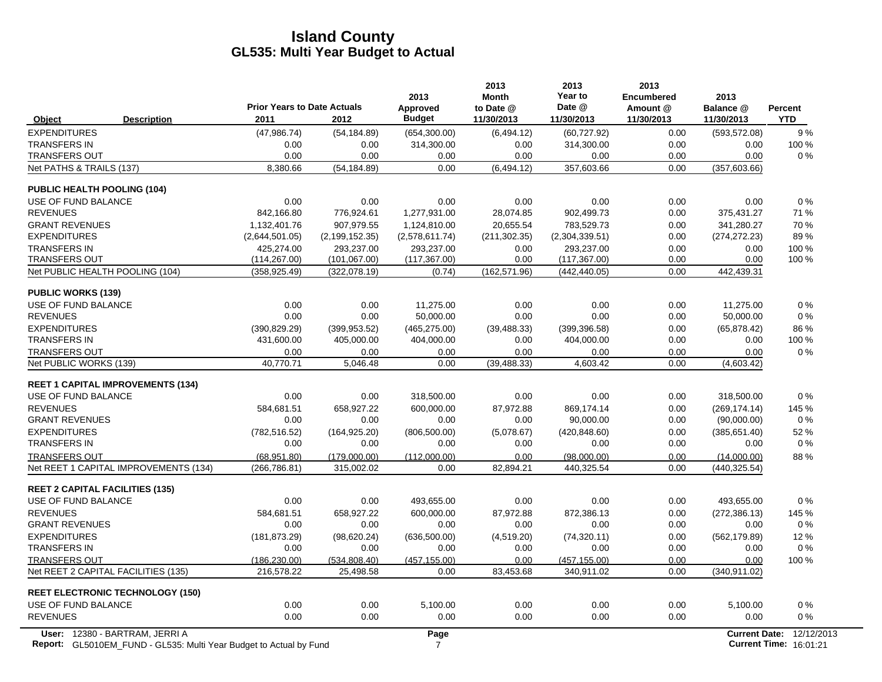|                                                |                                            |                  | 2013                      | 2013<br><b>Month</b>    | 2013<br>Year to      | 2013<br><b>Encumbered</b> | 2013                    |                       |
|------------------------------------------------|--------------------------------------------|------------------|---------------------------|-------------------------|----------------------|---------------------------|-------------------------|-----------------------|
| <b>Description</b><br>Object                   | <b>Prior Years to Date Actuals</b><br>2011 | 2012             | Approved<br><b>Budget</b> | to Date @<br>11/30/2013 | Date @<br>11/30/2013 | Amount @<br>11/30/2013    | Balance @<br>11/30/2013 | Percent<br><b>YTD</b> |
| <b>EXPENDITURES</b>                            | (47,986.74)                                | (54, 184.89)     | (654, 300.00)             | (6,494.12)              | (60, 727.92)         | 0.00                      | (593, 572.08)           | 9%                    |
| <b>TRANSFERS IN</b>                            | 0.00                                       | 0.00             | 314,300.00                | 0.00                    | 314,300.00           | 0.00                      | 0.00                    | 100 %                 |
| <b>TRANSFERS OUT</b>                           | 0.00                                       | 0.00             | 0.00                      | 0.00                    | 0.00                 | 0.00                      | 0.00                    | 0%                    |
| Net PATHS & TRAILS (137)                       | 8.380.66                                   | (54, 184.89)     | 0.00                      | (6, 494.12)             | 357,603.66           | 0.00                      | (357, 603.66)           |                       |
| <b>PUBLIC HEALTH POOLING (104)</b>             |                                            |                  |                           |                         |                      |                           |                         |                       |
| USE OF FUND BALANCE                            | 0.00                                       | 0.00             | 0.00                      | 0.00                    | 0.00                 | 0.00                      | 0.00                    | $0\%$                 |
| <b>REVENUES</b>                                | 842.166.80                                 | 776,924.61       | 1,277,931.00              | 28.074.85               | 902,499.73           | 0.00                      | 375,431.27              | 71 %                  |
| <b>GRANT REVENUES</b>                          | 1,132,401.76                               | 907,979.55       | 1,124,810.00              | 20,655.54               | 783,529.73           | 0.00                      | 341,280.27              | 70 %                  |
| <b>EXPENDITURES</b>                            | (2,644,501.05)                             | (2, 199, 152.35) | (2,578,611.74)            | (211, 302.35)           | (2,304,339.51)       | 0.00                      | (274, 272.23)           | 89%                   |
| <b>TRANSFERS IN</b>                            | 425,274.00                                 | 293,237.00       | 293,237.00                | 0.00                    | 293,237.00           | 0.00                      | 0.00                    | 100 %                 |
| <b>TRANSFERS OUT</b>                           | (114, 267.00)                              | (101, 067.00)    | (117, 367.00)             | 0.00                    | (117, 367.00)        | 0.00                      | 0.00                    | 100 %                 |
| Net PUBLIC HEALTH POOLING (104)                | (358, 925.49)                              | (322,078.19)     | (0.74)                    | (162, 571.96)           | (442, 440.05)        | 0.00                      | 442,439.31              |                       |
| <b>PUBLIC WORKS (139)</b>                      |                                            |                  |                           |                         |                      |                           |                         |                       |
| USE OF FUND BALANCE                            | 0.00                                       | 0.00             | 11.275.00                 | 0.00                    | 0.00                 | 0.00                      | 11.275.00               | 0%                    |
| <b>REVENUES</b>                                | 0.00                                       | 0.00             | 50,000.00                 | 0.00                    | 0.00                 | 0.00                      | 50,000.00               | 0%                    |
| <b>EXPENDITURES</b>                            | (390, 829.29)                              | (399, 953.52)    | (465, 275.00)             | (39, 488.33)            | (399, 396.58)        | 0.00                      | (65, 878.42)            | 86 %                  |
| <b>TRANSFERS IN</b>                            | 431.600.00                                 | 405.000.00       | 404,000.00                | 0.00                    | 404,000.00           | 0.00                      | 0.00                    | 100 %                 |
| <b>TRANSFERS OUT</b><br>Net PUBLIC WORKS (139) | 0.00<br>40,770.71                          | 0.00<br>5,046.48 | 0.00<br>0.00              | 0.00<br>(39, 488.33)    | 0.00<br>4,603.42     | 0.00<br>0.00              | 0.00<br>(4,603.42)      | $0\%$                 |
|                                                |                                            |                  |                           |                         |                      |                           |                         |                       |
| <b>REET 1 CAPITAL IMPROVEMENTS (134)</b>       |                                            |                  |                           |                         |                      |                           |                         |                       |
| USE OF FUND BALANCE                            | 0.00                                       | 0.00             | 318,500.00                | 0.00                    | 0.00                 | 0.00                      | 318,500.00              | 0%                    |
| <b>REVENUES</b>                                | 584,681.51                                 | 658,927.22       | 600,000.00                | 87,972.88               | 869,174.14           | 0.00                      | (269, 174.14)           | 145 %                 |
| <b>GRANT REVENUES</b>                          | 0.00                                       | 0.00             | 0.00                      | 0.00                    | 90,000.00            | 0.00                      | (90,000.00)             | 0%                    |
| <b>EXPENDITURES</b>                            | (782, 516.52)                              | (164, 925.20)    | (806, 500.00)             | (5,078.67)              | (420, 848.60)        | 0.00                      | (385, 651.40)           | 52 %                  |
| <b>TRANSFERS IN</b>                            | 0.00                                       | 0.00             | 0.00                      | 0.00                    | 0.00                 | 0.00                      | 0.00                    | 0%                    |
| <b>TRANSFERS OUT</b>                           | (68,951.80)                                | (179,000.00)     | (112,000.00)              | 0.00                    | (98,000.00)          | 0.00                      | (14,000.00)             | 88%                   |
| Net REET 1 CAPITAL IMPROVEMENTS (134)          | (266, 786.81)                              | 315.002.02       | 0.00                      | 82.894.21               | 440.325.54           | 0.00                      | (440, 325.54)           |                       |
| <b>REET 2 CAPITAL FACILITIES (135)</b>         |                                            |                  |                           |                         |                      |                           |                         |                       |
| USE OF FUND BALANCE                            | 0.00                                       | 0.00             | 493,655.00                | 0.00                    | 0.00                 | 0.00                      | 493,655.00              | 0%                    |
| <b>REVENUES</b>                                | 584.681.51                                 | 658.927.22       | 600.000.00                | 87,972.88               | 872.386.13           | 0.00                      | (272, 386.13)           | 145 %                 |
| <b>GRANT REVENUES</b>                          | 0.00                                       | 0.00             | 0.00                      | 0.00                    | 0.00                 | 0.00                      | 0.00                    | $0\%$                 |
| <b>EXPENDITURES</b>                            | (181, 873.29)                              | (98,620.24)      | (636, 500.00)             | (4,519.20)              | (74, 320.11)         | 0.00                      | (562, 179.89)           | 12%                   |
| <b>TRANSFERS IN</b>                            | 0.00                                       | 0.00             | 0.00                      | 0.00                    | 0.00                 | 0.00                      | 0.00                    | 0%                    |
| <b>TRANSFERS OUT</b>                           | (186, 230.00)                              | (534, 808.40)    | (457, 155.00)             | 0.00                    | (457, 155.00)        | 0.00                      | 0.00                    | 100 %                 |
| Net REET 2 CAPITAL FACILITIES (135)            | 216,578.22                                 | 25,498.58        | 0.00                      | 83,453.68               | 340,911.02           | 0.00                      | (340, 911.02)           |                       |
| <b>REET ELECTRONIC TECHNOLOGY (150)</b>        |                                            |                  |                           |                         |                      |                           |                         |                       |
| USE OF FUND BALANCE                            | 0.00                                       | 0.00             | 5,100.00                  | 0.00                    | 0.00                 | 0.00                      | 5,100.00                | 0%                    |
| <b>REVENUES</b>                                | 0.00                                       | 0.00             | 0.00                      | 0.00                    | 0.00                 | 0.00                      | 0.00                    | 0%                    |
| User: 12380 - BARTRAM, JERRI A                 |                                            |                  | Page                      |                         |                      |                           | <b>Current Date:</b>    | 12/12/2013            |

**Report:** 7 **Current Time:** GL5010EM\_FUND - GL535: Multi Year Budget to Actual by Fund 16:01:21 16:01:21 16:01:21 16:01:21 16:01:21 16:01:21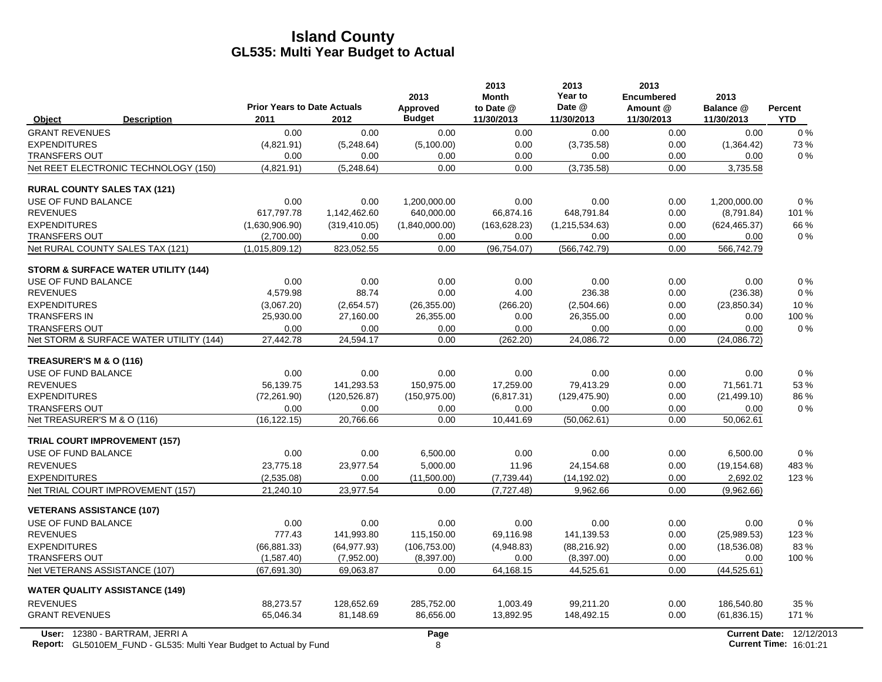| <b>Description</b><br>Object<br><b>GRANT REVENUES</b><br><b>EXPENDITURES</b><br><b>TRANSFERS OUT</b><br>Net REET ELECTRONIC TECHNOLOGY (150)<br><b>RURAL COUNTY SALES TAX (121)</b><br>USE OF FUND BALANCE | <b>Prior Years to Date Actuals</b><br>2011<br>0.00<br>(4,821.91)<br>0.00<br>(4,821.91)<br>0.00<br>617,797.78<br>(1,630,906.90)<br>(2,700.00)<br>(1,015,809.12)<br>0.00 | 2012<br>0.00<br>(5,248.64)<br>0.00<br>(5,248.64)<br>0.00<br>1,142,462.60<br>(319, 410.05)<br>0.00<br>823,052.55 | Approved<br><b>Budget</b><br>0.00<br>(5,100.00)<br>0.00<br>0.00<br>1,200,000.00<br>640,000.00<br>(1,840,000.00)<br>0.00<br>0.00 | to Date @<br>11/30/2013<br>0.00<br>0.00<br>0.00<br>0.00<br>0.00<br>66,874.16<br>(163, 628.23)<br>0.00<br>(96, 754.07) | Date @<br>11/30/2013<br>0.00<br>(3,735.58)<br>0.00<br>(3,735.58)<br>0.00<br>648,791.84<br>(1,215,534.63)<br>0.00<br>(566, 742.79) | Amount @<br>11/30/2013<br>0.00<br>0.00<br>0.00<br>0.00<br>0.00<br>0.00<br>0.00<br>0.00<br>0.00 | Balance @<br>11/30/2013<br>0.00<br>(1,364.42)<br>0.00<br>3,735.58<br>1,200,000.00<br>(8,791.84)<br>(624, 465.37)<br>0.00 | <b>Percent</b><br><b>YTD</b><br>$0\%$<br>73%<br>$0\%$<br>0%<br>101 %<br>66 %<br>$0\%$ |
|------------------------------------------------------------------------------------------------------------------------------------------------------------------------------------------------------------|------------------------------------------------------------------------------------------------------------------------------------------------------------------------|-----------------------------------------------------------------------------------------------------------------|---------------------------------------------------------------------------------------------------------------------------------|-----------------------------------------------------------------------------------------------------------------------|-----------------------------------------------------------------------------------------------------------------------------------|------------------------------------------------------------------------------------------------|--------------------------------------------------------------------------------------------------------------------------|---------------------------------------------------------------------------------------|
|                                                                                                                                                                                                            |                                                                                                                                                                        |                                                                                                                 |                                                                                                                                 |                                                                                                                       |                                                                                                                                   |                                                                                                |                                                                                                                          |                                                                                       |
|                                                                                                                                                                                                            |                                                                                                                                                                        |                                                                                                                 |                                                                                                                                 |                                                                                                                       |                                                                                                                                   |                                                                                                |                                                                                                                          |                                                                                       |
|                                                                                                                                                                                                            |                                                                                                                                                                        |                                                                                                                 |                                                                                                                                 |                                                                                                                       |                                                                                                                                   |                                                                                                |                                                                                                                          |                                                                                       |
|                                                                                                                                                                                                            |                                                                                                                                                                        |                                                                                                                 |                                                                                                                                 |                                                                                                                       |                                                                                                                                   |                                                                                                |                                                                                                                          |                                                                                       |
|                                                                                                                                                                                                            |                                                                                                                                                                        |                                                                                                                 |                                                                                                                                 |                                                                                                                       |                                                                                                                                   |                                                                                                |                                                                                                                          |                                                                                       |
|                                                                                                                                                                                                            |                                                                                                                                                                        |                                                                                                                 |                                                                                                                                 |                                                                                                                       |                                                                                                                                   |                                                                                                |                                                                                                                          |                                                                                       |
|                                                                                                                                                                                                            |                                                                                                                                                                        |                                                                                                                 |                                                                                                                                 |                                                                                                                       |                                                                                                                                   |                                                                                                |                                                                                                                          |                                                                                       |
| <b>REVENUES</b>                                                                                                                                                                                            |                                                                                                                                                                        |                                                                                                                 |                                                                                                                                 |                                                                                                                       |                                                                                                                                   |                                                                                                |                                                                                                                          |                                                                                       |
| <b>EXPENDITURES</b>                                                                                                                                                                                        |                                                                                                                                                                        |                                                                                                                 |                                                                                                                                 |                                                                                                                       |                                                                                                                                   |                                                                                                |                                                                                                                          |                                                                                       |
| <b>TRANSFERS OUT</b>                                                                                                                                                                                       |                                                                                                                                                                        |                                                                                                                 |                                                                                                                                 |                                                                                                                       |                                                                                                                                   |                                                                                                |                                                                                                                          |                                                                                       |
| Net RURAL COUNTY SALES TAX (121)                                                                                                                                                                           |                                                                                                                                                                        |                                                                                                                 |                                                                                                                                 |                                                                                                                       |                                                                                                                                   |                                                                                                | 566,742.79                                                                                                               |                                                                                       |
| <b>STORM &amp; SURFACE WATER UTILITY (144)</b>                                                                                                                                                             |                                                                                                                                                                        |                                                                                                                 |                                                                                                                                 |                                                                                                                       |                                                                                                                                   |                                                                                                |                                                                                                                          |                                                                                       |
| USE OF FUND BALANCE                                                                                                                                                                                        |                                                                                                                                                                        | 0.00                                                                                                            | 0.00                                                                                                                            | 0.00                                                                                                                  | 0.00                                                                                                                              | 0.00                                                                                           | 0.00                                                                                                                     | $0\%$                                                                                 |
| <b>REVENUES</b>                                                                                                                                                                                            | 4,579.98                                                                                                                                                               | 88.74                                                                                                           | 0.00                                                                                                                            | 4.00                                                                                                                  | 236.38                                                                                                                            | 0.00                                                                                           | (236.38)                                                                                                                 | $0\%$                                                                                 |
| <b>EXPENDITURES</b>                                                                                                                                                                                        | (3,067.20)                                                                                                                                                             | (2,654.57)                                                                                                      | (26, 355.00)                                                                                                                    | (266.20)                                                                                                              | (2,504.66)                                                                                                                        | 0.00                                                                                           | (23, 850.34)                                                                                                             | 10%                                                                                   |
| <b>TRANSFERS IN</b>                                                                                                                                                                                        | 25,930.00                                                                                                                                                              | 27,160.00                                                                                                       | 26,355.00                                                                                                                       | 0.00                                                                                                                  | 26,355.00                                                                                                                         | 0.00                                                                                           | 0.00                                                                                                                     | 100 %                                                                                 |
| <b>TRANSFERS OUT</b>                                                                                                                                                                                       | 0.00                                                                                                                                                                   | 0.00                                                                                                            | 0.00                                                                                                                            | 0.00                                                                                                                  | 0.00                                                                                                                              | 0.00                                                                                           | 0.00                                                                                                                     | 0%                                                                                    |
| Net STORM & SURFACE WATER UTILITY (144)                                                                                                                                                                    | 27,442.78                                                                                                                                                              | 24,594.17                                                                                                       | 0.00                                                                                                                            | (262.20)                                                                                                              | 24,086.72                                                                                                                         | 0.00                                                                                           | (24,086.72)                                                                                                              |                                                                                       |
| TREASURER'S M & O (116)                                                                                                                                                                                    |                                                                                                                                                                        |                                                                                                                 |                                                                                                                                 |                                                                                                                       |                                                                                                                                   |                                                                                                |                                                                                                                          |                                                                                       |
| USE OF FUND BALANCE                                                                                                                                                                                        | 0.00                                                                                                                                                                   | 0.00                                                                                                            | 0.00                                                                                                                            | 0.00                                                                                                                  | 0.00                                                                                                                              | 0.00                                                                                           | 0.00                                                                                                                     | $0\%$                                                                                 |
| <b>REVENUES</b>                                                                                                                                                                                            | 56.139.75                                                                                                                                                              | 141.293.53                                                                                                      | 150.975.00                                                                                                                      | 17.259.00                                                                                                             | 79.413.29                                                                                                                         | 0.00                                                                                           | 71,561.71                                                                                                                | 53%                                                                                   |
| <b>EXPENDITURES</b>                                                                                                                                                                                        | (72, 261.90)                                                                                                                                                           | (120, 526.87)                                                                                                   | (150, 975.00)                                                                                                                   | (6, 817.31)                                                                                                           | (129, 475.90)                                                                                                                     | 0.00                                                                                           | (21, 499.10)                                                                                                             | 86 %                                                                                  |
| <b>TRANSFERS OUT</b>                                                                                                                                                                                       | 0.00                                                                                                                                                                   | 0.00                                                                                                            | 0.00                                                                                                                            | 0.00                                                                                                                  | 0.00                                                                                                                              | 0.00                                                                                           | 0.00                                                                                                                     | $0\%$                                                                                 |
| Net TREASURER'S M & O (116)                                                                                                                                                                                | (16, 122.15)                                                                                                                                                           | 20,766.66                                                                                                       | 0.00                                                                                                                            | 10,441.69                                                                                                             | (50,062.61)                                                                                                                       | 0.00                                                                                           | 50,062.61                                                                                                                |                                                                                       |
| <b>TRIAL COURT IMPROVEMENT (157)</b>                                                                                                                                                                       |                                                                                                                                                                        |                                                                                                                 |                                                                                                                                 |                                                                                                                       |                                                                                                                                   |                                                                                                |                                                                                                                          |                                                                                       |
| USE OF FUND BALANCE                                                                                                                                                                                        | 0.00                                                                                                                                                                   | 0.00                                                                                                            | 6,500.00                                                                                                                        | 0.00                                                                                                                  | 0.00                                                                                                                              | 0.00                                                                                           | 6,500.00                                                                                                                 | 0%                                                                                    |
| <b>REVENUES</b>                                                                                                                                                                                            | 23,775.18                                                                                                                                                              | 23,977.54                                                                                                       | 5,000.00                                                                                                                        | 11.96                                                                                                                 | 24,154.68                                                                                                                         | 0.00                                                                                           | (19, 154.68)                                                                                                             | 483 %                                                                                 |
| <b>EXPENDITURES</b>                                                                                                                                                                                        | (2,535.08)                                                                                                                                                             | 0.00                                                                                                            | (11,500.00)                                                                                                                     | (7,739.44)                                                                                                            | (14, 192.02)                                                                                                                      | 0.00                                                                                           | 2,692.02                                                                                                                 | 123 %                                                                                 |
| Net TRIAL COURT IMPROVEMENT (157)                                                                                                                                                                          | 21,240.10                                                                                                                                                              | 23,977.54                                                                                                       | 0.00                                                                                                                            | (7, 727.48)                                                                                                           | 9,962.66                                                                                                                          | 0.00                                                                                           | (9,962.66)                                                                                                               |                                                                                       |
| <b>VETERANS ASSISTANCE (107)</b>                                                                                                                                                                           |                                                                                                                                                                        |                                                                                                                 |                                                                                                                                 |                                                                                                                       |                                                                                                                                   |                                                                                                |                                                                                                                          |                                                                                       |
| USE OF FUND BALANCE                                                                                                                                                                                        | 0.00                                                                                                                                                                   | 0.00                                                                                                            | 0.00                                                                                                                            | 0.00                                                                                                                  | 0.00                                                                                                                              | 0.00                                                                                           | 0.00                                                                                                                     | 0%                                                                                    |
| <b>REVENUES</b>                                                                                                                                                                                            | 777.43                                                                                                                                                                 | 141,993.80                                                                                                      | 115,150.00                                                                                                                      | 69,116.98                                                                                                             | 141,139.53                                                                                                                        | 0.00                                                                                           | (25,989.53)                                                                                                              | 123 %                                                                                 |
| <b>EXPENDITURES</b>                                                                                                                                                                                        | (66, 881.33)                                                                                                                                                           | (64.977.93)                                                                                                     | (106, 753.00)                                                                                                                   | (4,948.83)                                                                                                            | (88, 216.92)                                                                                                                      | 0.00                                                                                           | (18,536.08)                                                                                                              | 83%                                                                                   |
| <b>TRANSFERS OUT</b>                                                                                                                                                                                       | (1,587.40)                                                                                                                                                             | (7,952.00)                                                                                                      | (8,397.00)                                                                                                                      | 0.00                                                                                                                  | (8, 397.00)                                                                                                                       | 0.00                                                                                           | 0.00                                                                                                                     | 100 %                                                                                 |
| Net VETERANS ASSISTANCE (107)                                                                                                                                                                              | (67, 691.30)                                                                                                                                                           | 69,063.87                                                                                                       | 0.00                                                                                                                            | 64,168.15                                                                                                             | 44,525.61                                                                                                                         | 0.00                                                                                           | (44, 525.61)                                                                                                             |                                                                                       |
| <b>WATER QUALITY ASSISTANCE (149)</b>                                                                                                                                                                      |                                                                                                                                                                        |                                                                                                                 |                                                                                                                                 |                                                                                                                       |                                                                                                                                   |                                                                                                |                                                                                                                          |                                                                                       |
| <b>REVENUES</b>                                                                                                                                                                                            | 88,273.57                                                                                                                                                              | 128,652.69                                                                                                      | 285,752.00                                                                                                                      | 1,003.49                                                                                                              | 99,211.20                                                                                                                         | 0.00                                                                                           | 186.540.80                                                                                                               | 35 %                                                                                  |
| <b>GRANT REVENUES</b>                                                                                                                                                                                      | 65,046.34                                                                                                                                                              | 81,148.69                                                                                                       | 86,656.00                                                                                                                       | 13,892.95                                                                                                             | 148,492.15                                                                                                                        | 0.00                                                                                           | (61, 836.15)                                                                                                             | 171 %                                                                                 |
| User: 12380 - BARTRAM, JERRI A<br><b>Report:</b> GL5010EM_FUND - GL535: Multi Year Budget to Actual by Fund                                                                                                |                                                                                                                                                                        |                                                                                                                 | Page<br>8                                                                                                                       |                                                                                                                       |                                                                                                                                   |                                                                                                |                                                                                                                          | <b>Current Date: 12/12/2013</b><br><b>Current Time: 16:01:21</b>                      |

 $\overline{\phantom{0}}$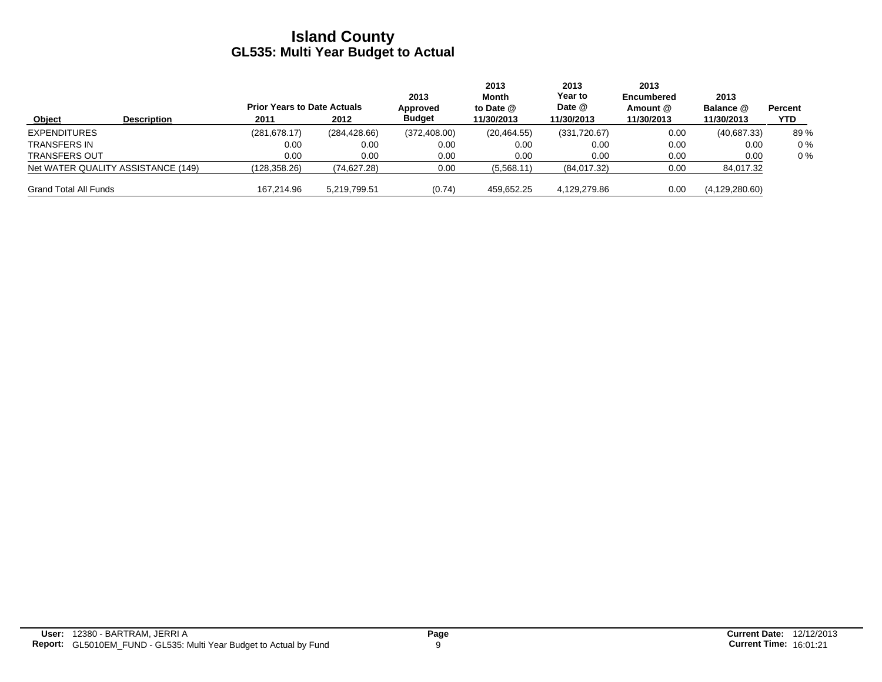|                                    |                    | <b>Prior Years to Date Actuals</b> |               | 2013<br>Approved | 2013<br>Month<br>to Date $@$ | 2013<br>Year to<br>Date @ | 2013<br>Encumbered<br>Amount @ | 2013<br>Balance @ | <b>Percent</b> |
|------------------------------------|--------------------|------------------------------------|---------------|------------------|------------------------------|---------------------------|--------------------------------|-------------------|----------------|
| Object                             | <b>Description</b> | 2011                               | 2012          | <b>Budget</b>    | 11/30/2013                   | 11/30/2013                | 11/30/2013                     | 11/30/2013        | YTD.           |
| <b>EXPENDITURES</b>                |                    | (281.678.17)                       | (284, 428.66) | (372, 408.00)    | (20, 464.55)                 | (331,720.67)              | 0.00                           | (40,687.33)       | 89%            |
| <b>TRANSFERS IN</b>                |                    | 0.00                               | 0.00          | 0.00             | 0.00                         | 0.00                      | 0.00                           | 0.00              | $0\%$          |
| <b>TRANSFERS OUT</b>               |                    | 0.00                               | 0.00          | 0.00             | 0.00                         | 0.00                      | 0.00                           | 0.00              | $0\%$          |
| Net WATER QUALITY ASSISTANCE (149) |                    | (128, 358.26)                      | (74, 627.28)  | 0.00             | (5,568.11)                   | (84,017.32)               | 0.00                           | 84,017.32         |                |
| <b>Grand Total All Funds</b>       |                    | 167.214.96                         | 5,219,799.51  | (0.74)           | 459,652.25                   | 4.129.279.86              | 0.00                           | (4, 129, 280.60)  |                |